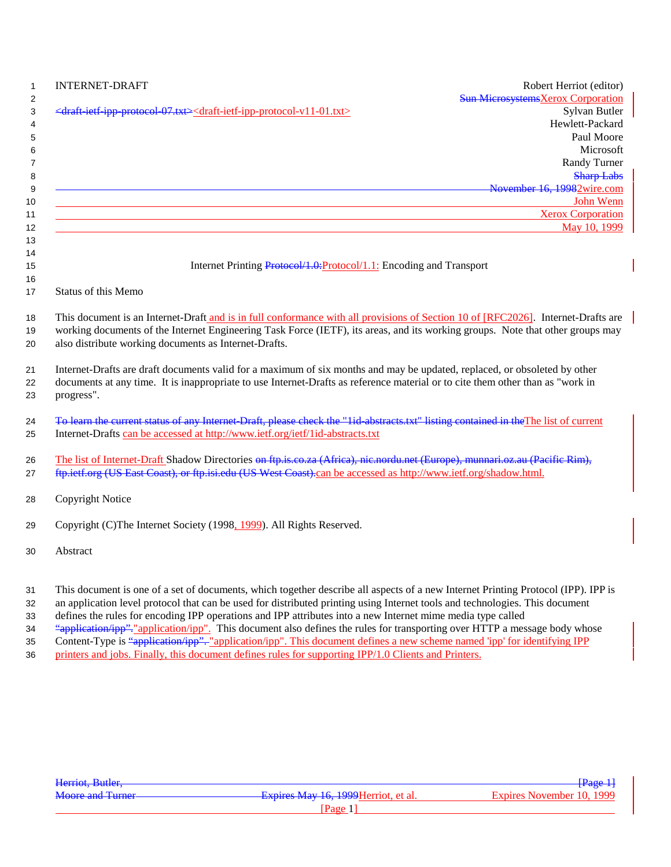| <b>INTERNET-DRAFT</b>                                                                                                                                                                                                                                                                                                        | Robert Herriot (editor)                                   |
|------------------------------------------------------------------------------------------------------------------------------------------------------------------------------------------------------------------------------------------------------------------------------------------------------------------------------|-----------------------------------------------------------|
| <draft-ietf-ipp-protocol-07.txt><draft-ietf-ipp-protocol-v11-01.txt></draft-ietf-ipp-protocol-v11-01.txt></draft-ietf-ipp-protocol-07.txt>                                                                                                                                                                                   | <b>Sun MicrosystemsXerox Corporation</b><br>Sylvan Butler |
|                                                                                                                                                                                                                                                                                                                              | Hewlett-Packard                                           |
|                                                                                                                                                                                                                                                                                                                              | Paul Moore                                                |
|                                                                                                                                                                                                                                                                                                                              | Microsoft                                                 |
|                                                                                                                                                                                                                                                                                                                              | Randy Turner                                              |
|                                                                                                                                                                                                                                                                                                                              | <b>Sharp Labs</b>                                         |
| <b>Example:</b> November 16, 19982wire.com                                                                                                                                                                                                                                                                                   |                                                           |
| <u> 1989 - Andrea Santa Andrea Andrea Andrea Andrea Andrea Andrea Andrea Andrea Andrea Andrea Andrea Andrea Andr</u>                                                                                                                                                                                                         | John Wenn                                                 |
| <u> 1989 - Johann Stoff, amerikansk politiker (d. 1989)</u>                                                                                                                                                                                                                                                                  | <b>Xerox Corporation</b>                                  |
|                                                                                                                                                                                                                                                                                                                              | May 10, 1999                                              |
| Internet Printing Protocol/1.0: Protocol/1.1: Encoding and Transport                                                                                                                                                                                                                                                         |                                                           |
| Status of this Memo                                                                                                                                                                                                                                                                                                          |                                                           |
| This document is an Internet-Draft and is in full conformance with all provisions of Section 10 of [RFC2026]. Internet-Drafts are<br>working documents of the Internet Engineering Task Force (IETF), its areas, and its working groups. Note that other groups may<br>also distribute working documents as Internet-Drafts. |                                                           |
| Internet-Drafts are draft documents valid for a maximum of six months and may be updated, replaced, or obsoleted by other<br>documents at any time. It is inappropriate to use Internet-Drafts as reference material or to cite them other than as "work in<br>progress".                                                    |                                                           |
| To learn the current status of any Internet-Draft, please check the "lid-abstracts.txt" listing contained in the The list of current<br>Internet-Drafts can be accessed at http://www.ietf.org/ietf/1id-abstracts.txt                                                                                                        |                                                           |
| The list of Internet-Draft Shadow Directories on ftp.is.co.za (Africa), nic.nordu.net (Europe), munnari.oz.au (Pacific Rim),                                                                                                                                                                                                 |                                                           |
| ftp.ietf.org (US East Coast), or ftp.isi.edu (US West Coast).can be accessed as http://www.ietf.org/shadow.html.                                                                                                                                                                                                             |                                                           |
| <b>Copyright Notice</b>                                                                                                                                                                                                                                                                                                      |                                                           |
| Copyright (C)The Internet Society (1998, 1999). All Rights Reserved.                                                                                                                                                                                                                                                         |                                                           |
| Abstract                                                                                                                                                                                                                                                                                                                     |                                                           |
| This document is one of a set of documents, which together describe all aspects of a new Internet Printing Protocol (IPP). IPP is                                                                                                                                                                                            |                                                           |

32 an application level protocol that can be used for distributed printing using Internet tools and technologies. This document

33 defines the rules for encoding IPP operations and IPP attributes into a new Internet mime media type called

34 "application/ipp". "application/ipp". This document also defines the rules for transporting over HTTP a message body whose

35 Content-Type is "application/ipp". "application/ipp". This document defines a new scheme named 'ipp' for identifying IPP

36 printers and jobs. Finally, this document defines rules for supporting IPP/1.0 Clients and Printers.

| Herriot, Butler,        |                                              | $\sqrt{\text{Page} + \text{diag}}$ |
|-------------------------|----------------------------------------------|------------------------------------|
|                         |                                              |                                    |
| <b>Moore and Turner</b> | <b>Expires May 16, 1999 Herriot</b> , et al. | Expires November 10, 1999          |
|                         |                                              |                                    |
|                         | Page                                         |                                    |
|                         |                                              |                                    |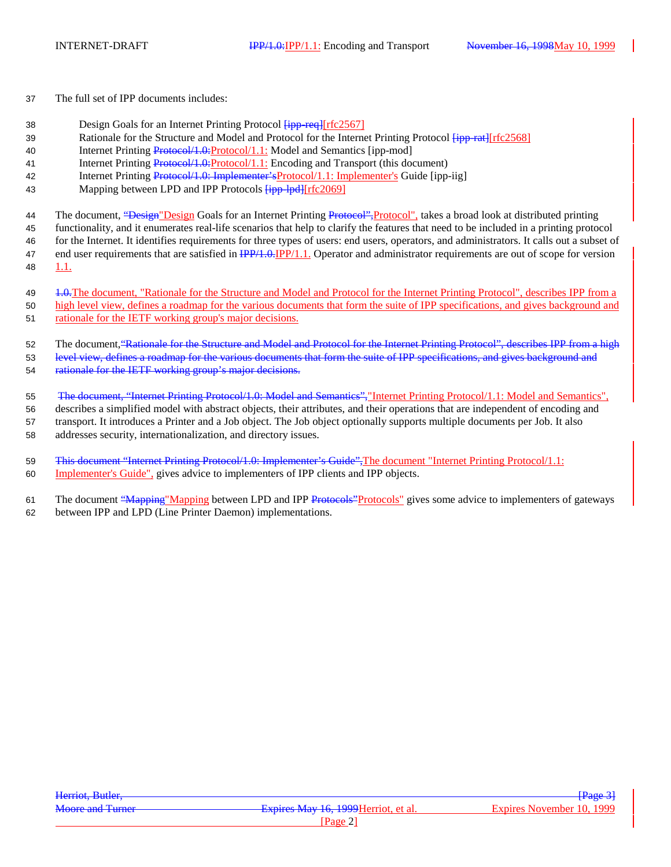- 37 The full set of IPP documents includes:
- 38 Design Goals for an Internet Printing Protocol  $\frac{[ipp+req][rfc2567]}{[ipp+req][rfc2567]}$
- 39 Rationale for the Structure and Model and Protocol for the Internet Printing Protocol  $\frac{1}{1}$ [rfc2568]
- 40 Internet Printing Protocol/1.0:Protocol/1.1: Model and Semantics [ipp-mod]
- 41 Internet Printing Protocol/1.0:Protocol/1.1: Encoding and Transport (this document)
- 42 Internet Printing Protocol/1.0: Implementer'sProtocol/1.1: Implementer's Guide [ipp-iig]
- 43 Mapping between LPD and IPP Protocols  $\frac{f_{\text{ipp}} \text{lpd}}{f_{\text{F}}f_{\text{C}}}$
- 44 The document, "Design" Design Goals for an Internet Printing Protocol", protocol", takes a broad look at distributed printing
- 45 functionality, and it enumerates real-life scenarios that help to clarify the features that need to be included in a printing protocol
- 46 for the Internet. It identifies requirements for three types of users: end users, operators, and administrators. It calls out a subset of
- 47 end user requirements that are satisfied in  $\frac{IPP}{1.0}$ . [PP/1.1.] Operator and administrator requirements are out of scope for version 48 1.1.
- 49 1.0.The document, "Rationale for the Structure and Model and Protocol for the Internet Printing Protocol", describes IPP from a 50 high level view, defines a roadmap for the various documents that form the suite of IPP specifications, and gives background and 51 rationale for the IETF working group's major decisions.
- 52 The document, "Rationale for the Structure and Model and Protocol for the Internet Printing Protocol", describes IPP from a high 53 level view, defines a roadmap for the various documents that form the suite of IPP specifications, and gives background and
- 54 rationale for the IETF working group's major decisions.
- 55 The document, "Internet Printing Protocol/1.0: Model and Semantics","Internet Printing Protocol/1.1: Model and Semantics", 56 describes a simplified model with abstract objects, their attributes, and their operations that are independent of encoding and 57 transport. It introduces a Printer and a Job object. The Job object optionally supports multiple documents per Job. It also 58 addresses security, internationalization, and directory issues.
- 59 This document "Internet Printing Protocol/1.0: Implementer's Guide", The document "Internet Printing Protocol/1.1: 60 Implementer's Guide", gives advice to implementers of IPP clients and IPP objects.
- 61 The document "Mapping" Mapping between LPD and IPP Protocols" protocols" gives some advice to implementers of gateways
- 62 between IPP and LPD (Line Printer Daemon) implementations.

|        | <del> Page 3 </del>                  |
|--------|--------------------------------------|
|        |                                      |
|        | Expires November 10, 1999            |
|        |                                      |
| Page 2 |                                      |
|        | Expires May 16, 1999 Herriot, et al. |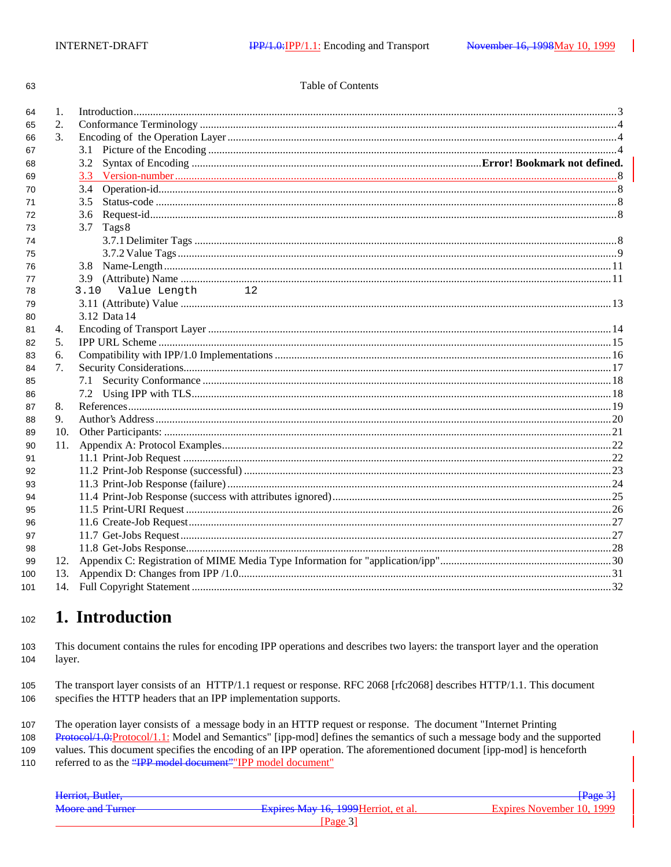| ×<br>I<br>×<br>۰, | ×<br>¢<br>۰. |
|-------------------|--------------|

### Table of Contents

| 64     | 1.  |                            |  |  |
|--------|-----|----------------------------|--|--|
| 65     | 2.  |                            |  |  |
| 66     | 3.  |                            |  |  |
| 67     |     | 3.1                        |  |  |
| 68     |     | 3.2                        |  |  |
| 69     |     |                            |  |  |
| 70     |     | 3.4                        |  |  |
| 71     |     | 3.5                        |  |  |
| 72     |     | 3.6                        |  |  |
| 73     |     | 3.7<br>Tags <sup>8</sup>   |  |  |
| 74     |     |                            |  |  |
| 75     |     |                            |  |  |
| 76     |     |                            |  |  |
| 77     |     |                            |  |  |
| 78     |     | Value Length<br>12<br>3.10 |  |  |
| 79     |     |                            |  |  |
| 80     |     | 3.12 Data 14               |  |  |
| 81     | 4.  |                            |  |  |
| 82     | 5.  |                            |  |  |
| 83     | 6.  |                            |  |  |
| 84     | 7.  |                            |  |  |
| 85     |     | 7.1                        |  |  |
| 86     |     |                            |  |  |
| 87     | 8.  |                            |  |  |
| 88     | 9.  |                            |  |  |
| 89     | 10. |                            |  |  |
| 90     | 11. |                            |  |  |
| 91     |     |                            |  |  |
| 92     |     |                            |  |  |
| 93     |     |                            |  |  |
| 94     |     |                            |  |  |
| 95     |     |                            |  |  |
| 96     |     |                            |  |  |
| 97     |     |                            |  |  |
| 98     |     |                            |  |  |
| 99     | 12. |                            |  |  |
| $00\,$ | 13. |                            |  |  |
| 01     | 14. |                            |  |  |

#### 1. Introduction 102

This document contains the rules for encoding IPP operations and describes two layers: the transport layer and the operation 103 104 layer.

105 The transport layer consists of an HTTP/1.1 request or response. RFC 2068 [rfc2068] describes HTTP/1.1. This document specifies the HTTP headers that an IPP implementation supports. 106

The operation layer consists of a message body in an HTTP request or response. The document "Internet Printing 107

Protocol/1.0: Protocol/1.1: Model and Semantics" [ipp-mod] defines the semantics of such a message body and the supported 108 values. This document specifies the encoding of an IPP operation. The aforementioned document [ipp-mod] is henceforth 109 referred to as the "IPP model document" IPP model document" 110

| <del>Herriot, Butler</del> |                                      | <del>Page 31</del>        |
|----------------------------|--------------------------------------|---------------------------|
| <b>Moore and Turner</b>    | Expires May 16, 1999 Herriot, et al. | Expires November 10, 1999 |
|                            |                                      |                           |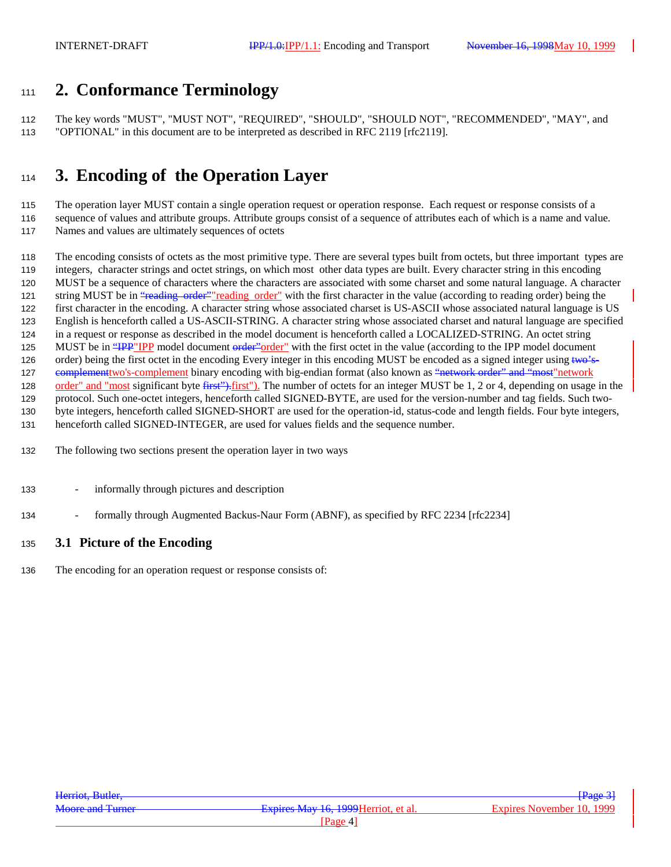# **2. Conformance Terminology**

 The key words "MUST", "MUST NOT", "REQUIRED", "SHOULD", "SHOULD NOT", "RECOMMENDED", "MAY", and "OPTIONAL" in this document are to be interpreted as described in RFC 2119 [rfc2119].

# **3. Encoding of the Operation Layer**

 The operation layer MUST contain a single operation request or operation response. Each request or response consists of a sequence of values and attribute groups. Attribute groups consist of a sequence of attributes each of which is a name and value. Names and values are ultimately sequences of octets

The encoding consists of octets as the most primitive type. There are several types built from octets, but three important types are

 integers, character strings and octet strings, on which most other data types are built. Every character string in this encoding MUST be a sequence of characters where the characters are associated with some charset and some natural language. A character

121 string MUST be in "reading order" reading order" with the first character in the value (according to reading order) being the

first character in the encoding. A character string whose associated charset is US-ASCII whose associated natural language is US

English is henceforth called a US-ASCII-STRING. A character string whose associated charset and natural language are specified

in a request or response as described in the model document is henceforth called a LOCALIZED-STRING. An octet string

125 MUST be in "IPP" IPP model document order" order" with the first octet in the value (according to the IPP model document

126 order) being the first octet in the encoding Every integer in this encoding MUST be encoded as a signed integer using two's-127 complement two's-complement binary encoding with big-endian format (also known as "network order" and "most" network

128 order" and "most significant byte first"). The number of octets for an integer MUST be 1, 2 or 4, depending on usage in the

protocol. Such one-octet integers, henceforth called SIGNED-BYTE, are used for the version-number and tag fields. Such two-

byte integers, henceforth called SIGNED-SHORT are used for the operation-id, status-code and length fields. Four byte integers,

henceforth called SIGNED-INTEGER, are used for values fields and the sequence number.

The following two sections present the operation layer in two ways

- informally through pictures and description
- 134 <sup>-</sup> formally through Augmented Backus-Naur Form (ABNF), as specified by RFC 2234 [rfc2234]

### **3.1 Picture of the Encoding**

The encoding for an operation request or response consists of:

| Herriot, Butler,        |                                      | $\frac{P_{\text{age}}}{P_{\text{age}}}$ |
|-------------------------|--------------------------------------|-----------------------------------------|
| <b>Moore and Turner</b> | Expires May 16, 1999 Herriot, et al. | Expires November 10, 1999               |
|                         | Page 41                              |                                         |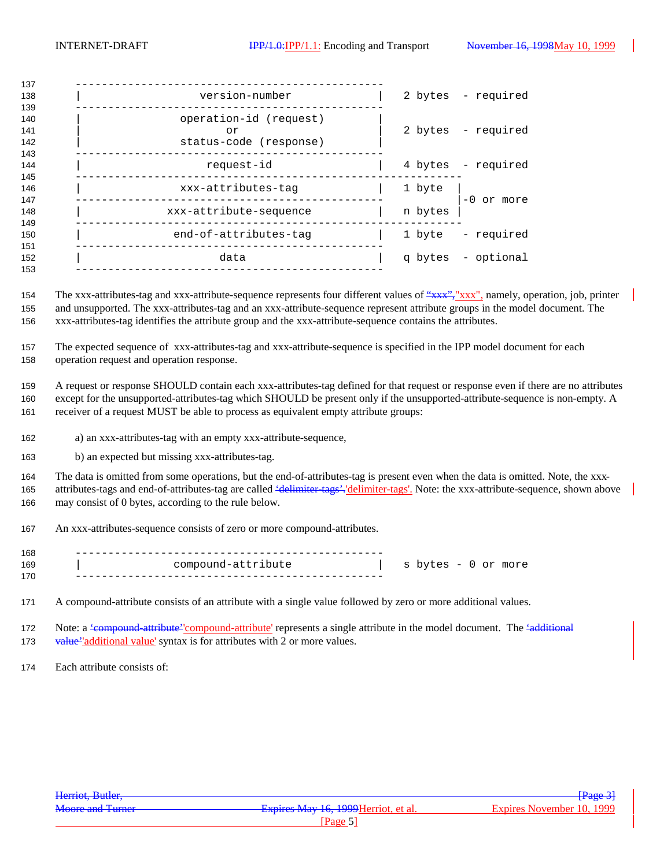| 137                      |                                                        |         |                    |
|--------------------------|--------------------------------------------------------|---------|--------------------|
| 138<br>139               | version-number                                         |         | 2 bytes - required |
| 140<br>141<br>142<br>143 | operation-id (request)<br>or<br>status-code (response) |         | 2 bytes - required |
| 144<br>145               | request-id                                             |         | 4 bytes - required |
| 146<br>147               | xxx-attributes-tag                                     | 1 byte  | $-0$ or more       |
| 148<br>149               | xxx-attribute-sequence                                 | n bytes |                    |
| 150<br>151               | end-of-attributes-tag                                  |         | 1 byte - required  |
| 152<br>153               | data                                                   |         | q bytes - optional |
|                          |                                                        |         |                    |

154 The xxx-attributes-tag and xxx-attribute-sequence represents four different values of "xxx", "xxx", namely, operation, job, printer and unsupported. The xxx-attributes-tag and an xxx-attribute-sequence represent attribute groups in the model document. The xxx-attributes-tag identifies the attribute group and the xxx-attribute-sequence contains the attributes.

 The expected sequence of xxx-attributes-tag and xxx-attribute-sequence is specified in the IPP model document for each operation request and operation response.

 A request or response SHOULD contain each xxx-attributes-tag defined for that request or response even if there are no attributes except for the unsupported-attributes-tag which SHOULD be present only if the unsupported-attribute-sequence is non-empty. A receiver of a request MUST be able to process as equivalent empty attribute groups:

- a) an xxx-attributes-tag with an empty xxx-attribute-sequence,
- b) an expected but missing xxx-attributes-tag.

 The data is omitted from some operations, but the end-of-attributes-tag is present even when the data is omitted. Note, the xxx-165 attributes-tags and end-of-attributes-tag are called <del>'delimiter-tags'</del>, 'delimiter-tags'. Note: the xxx-attribute-sequence, shown above may consist of 0 bytes, according to the rule below.

An xxx-attributes-sequence consists of zero or more compound-attributes.

| 168 |                    |                     |
|-----|--------------------|---------------------|
| 169 | compound-attribute | s bytes - 0 or more |
| 170 |                    |                     |

A compound-attribute consists of an attribute with a single value followed by zero or more additional values.

172 Note: a <del>'compound-attribute''compound-attribute'</del> represents a single attribute in the model document. The <del>'additional</del> 173 value<sup>2</sup>'additional value' syntax is for attributes with 2 or more values.

Each attribute consists of: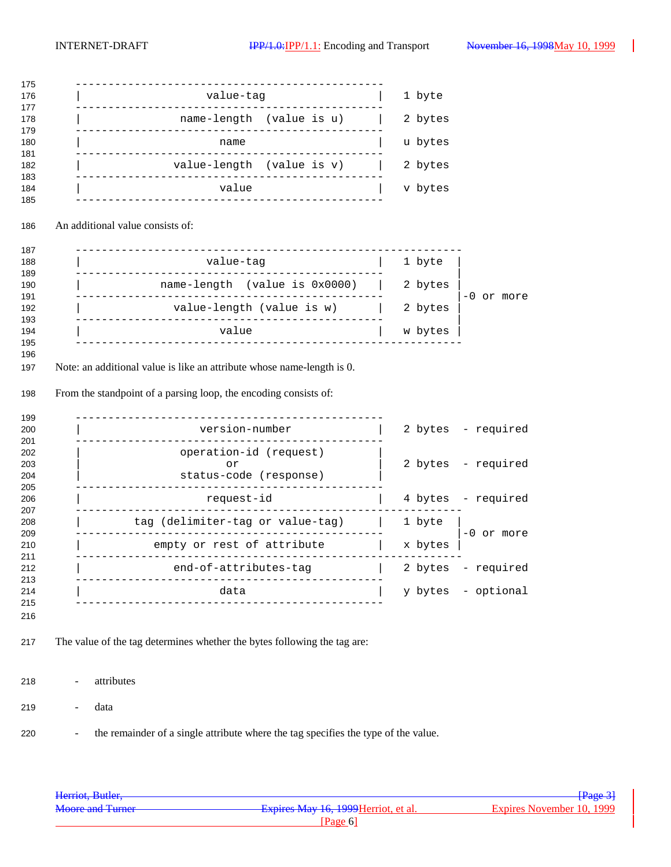|                | value-tag                                                                | 1 byte  |                    |
|----------------|--------------------------------------------------------------------------|---------|--------------------|
|                | . _ _ _ _ _ _ _ _ _ _ _ _ _ _<br>name-length (value is u)                | 2 bytes |                    |
|                | name                                                                     | u bytes |                    |
|                | value-length (value is v)                                                | 2 bytes |                    |
|                | value                                                                    | v bytes |                    |
|                |                                                                          |         |                    |
|                | An additional value consists of:                                         |         |                    |
|                | ----------------<br>value-tag<br>---------------------------             | 1 byte  |                    |
|                | name-length (value is 0x0000)                                            | 2 bytes |                    |
|                | value-length (value is w)                                                | 2 bytes | $-0$ or more       |
|                | value                                                                    | w bytes |                    |
|                |                                                                          |         |                    |
|                |                                                                          |         |                    |
|                | _______________<br>_________.<br>-----------<br>version-number           |         | 2 bytes - required |
|                |                                                                          |         |                    |
|                | operation-id (request)<br>or                                             |         | 2 bytes - required |
|                | status-code (response)<br>________________________<br>request-id         |         | 4 bytes - required |
|                | tag (delimiter-tag or value-tag)                                         | 1 byte  |                    |
|                | empty or rest of attribute                                               | x bytes | $-0$ or more       |
|                | -----------------<br>end-of-attributes-tag                               | 2 bytes | - required         |
|                |                                                                          |         |                    |
|                | data<br>------------------<br>__________________                         | y bytes | - optional         |
|                | The value of the tag determines whether the bytes following the tag are: |         |                    |
| $\overline{a}$ | attributes                                                               |         |                    |
|                | data                                                                     |         |                    |

| Herriot, Butler,        |                                      | <del>[Page 3]</del>       |
|-------------------------|--------------------------------------|---------------------------|
| <b>Moore and Turner</b> | Expires May 16, 1999 Herriot, et al. | Expires November 10, 1999 |
|                         | [Page 6]                             |                           |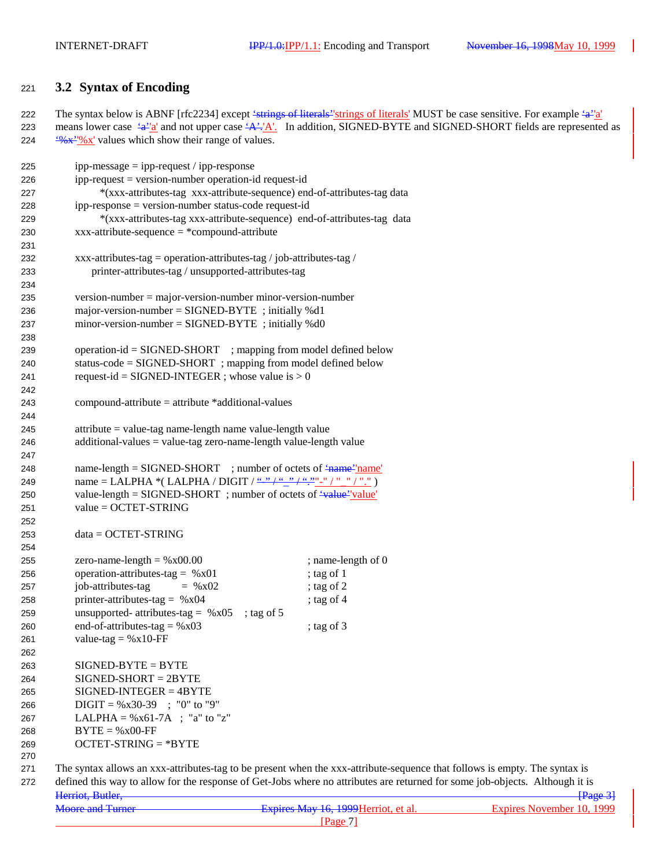## **3.2 Syntax of Encoding**

222 The syntax below is ABNF [rfc2234] except 'strings of literals' strings of literals' MUST be case sensitive. For example 'a''a' 223 means lower case  $\frac{4a^3a}{a}$  and not upper case  $\frac{4A^3a}{a}$ . In addition, SIGNED-BYTE and SIGNED-SHORT fields are represented as 224  $\frac{(0.65 \times 10^{8} \text{ K})}{24}$  values which show their range of values.

| 225 | $ipp-message = ipp-request / ipp-response$                                                            |                                                                                                                              |  |
|-----|-------------------------------------------------------------------------------------------------------|------------------------------------------------------------------------------------------------------------------------------|--|
| 226 | $ipp-request = version-number operation-id request-id$                                                |                                                                                                                              |  |
| 227 | *(xxx-attributes-tag xxx-attribute-sequence) end-of-attributes-tag data                               |                                                                                                                              |  |
| 228 | ipp-response = version-number status-code request-id                                                  |                                                                                                                              |  |
| 229 | *(xxx-attributes-tag xxx-attribute-sequence) end-of-attributes-tag data                               |                                                                                                                              |  |
| 230 | $xxx$ -attribute-sequence = *compound-attribute                                                       |                                                                                                                              |  |
| 231 |                                                                                                       |                                                                                                                              |  |
| 232 | xxx-attributes-tag = operation-attributes-tag / job-attributes-tag /                                  |                                                                                                                              |  |
| 233 | printer-attributes-tag / unsupported-attributes-tag                                                   |                                                                                                                              |  |
| 234 |                                                                                                       |                                                                                                                              |  |
| 235 | $version-number = majorversion-number minor-version-number$                                           |                                                                                                                              |  |
| 236 | major-version-number = $SIGNED-BYTE$ ; initially %d1                                                  |                                                                                                                              |  |
| 237 | minor-version-number = $SIGNED-BYTE$ ; initially %d0                                                  |                                                                                                                              |  |
| 238 |                                                                                                       |                                                                                                                              |  |
| 239 | operation-id = SIGNED-SHORT ; mapping from model defined below                                        |                                                                                                                              |  |
| 240 | status-code = SIGNED-SHORT ; mapping from model defined below                                         |                                                                                                                              |  |
| 241 | request-id = SIGNED-INTEGER ; whose value is $> 0$                                                    |                                                                                                                              |  |
| 242 |                                                                                                       |                                                                                                                              |  |
| 243 | $compound-attribute = attribute * additional-values$                                                  |                                                                                                                              |  |
| 244 |                                                                                                       |                                                                                                                              |  |
| 245 | attribute = value-tag name-length name value-length value                                             |                                                                                                                              |  |
| 246 | $additional-values = value-tag zero-name-length value-length value$                                   |                                                                                                                              |  |
| 247 |                                                                                                       |                                                                                                                              |  |
| 248 | name-length = $SIGNED-SHORT$ ; number of octets of $\frac{4}{1}$ ame <sup>-1</sup> name <sup>-1</sup> |                                                                                                                              |  |
| 249 |                                                                                                       |                                                                                                                              |  |
| 250 | value-length = SIGNED-SHORT ; number of octets of $\frac{4 \text{ value}}{2}$ value                   |                                                                                                                              |  |
| 251 | $value = OCTET-STRING$                                                                                |                                                                                                                              |  |
| 252 |                                                                                                       |                                                                                                                              |  |
| 253 | $data = OCTET-STRING$                                                                                 |                                                                                                                              |  |
| 254 |                                                                                                       |                                                                                                                              |  |
| 255 | zero-name-length = $%x00.00$                                                                          | ; name-length of 0                                                                                                           |  |
| 256 | operation-attributes-tag = $%x01$                                                                     | ; tag of 1                                                                                                                   |  |
| 257 | job-attributes-tag<br>$=$ % x02                                                                       | ; tag of $2$                                                                                                                 |  |
| 258 | printer-attributes-tag = $%x04$                                                                       | ; tag of 4                                                                                                                   |  |
| 259 | unsupported- attributes-tag = $%x05$<br>; tag of $5$                                                  |                                                                                                                              |  |
| 260 | end-of-attributes-tag = $%x03$                                                                        | ; tag of $3$                                                                                                                 |  |
| 261 | value-tag = $%x10$ -FF                                                                                |                                                                                                                              |  |
| 262 |                                                                                                       |                                                                                                                              |  |
| 263 | $SIGNED-BYTE = BYTE$                                                                                  |                                                                                                                              |  |
| 264 | $SIGNED-SHORT = 2BYTE$                                                                                |                                                                                                                              |  |
| 265 | $SIGNED-INTER = 4BYTE$                                                                                |                                                                                                                              |  |
| 266 | $DIGIT = %x30-39$ ; "0" to "9"                                                                        |                                                                                                                              |  |
| 267 | LALPHA = $\%x61-7A$ ; "a" to "z"                                                                      |                                                                                                                              |  |
| 268 | $BYTE = %x00-FF$                                                                                      |                                                                                                                              |  |
| 269 | $OCTET-STRING = *BYTE$                                                                                |                                                                                                                              |  |
| 270 |                                                                                                       |                                                                                                                              |  |
| 271 |                                                                                                       | The syntax allows an xxx-attributes-tag to be present when the xxx-attribute-sequence that follows is empty. The syntax is   |  |
| 272 |                                                                                                       | defined this way to allow for the response of Get-Jobs where no attributes are returned for some job-objects. Although it is |  |

| <del>Herriot, Butler,</del> |                                      | $\text{Case} 3$           |
|-----------------------------|--------------------------------------|---------------------------|
| <b>Moore and Turner</b>     | Expires May 16, 1999 Herriot, et al. | Expires November 10, 1999 |
|                             | Page                                 |                           |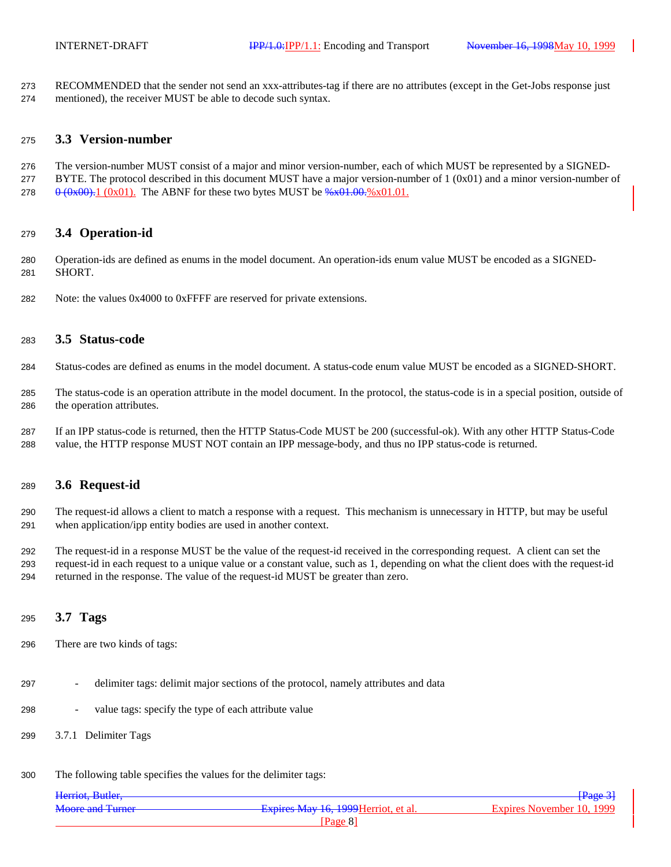RECOMMENDED that the sender not send an xxx-attributes-tag if there are no attributes (except in the Get-Jobs response just mentioned), the receiver MUST be able to decode such syntax.

#### **3.3 Version-number**

 The version-number MUST consist of a major and minor version-number, each of which MUST be represented by a SIGNED-277 BYTE. The protocol described in this document MUST have a major version-number of  $1 (0x01)$  and a minor version-number of 278  $0 \frac{(\theta x \theta)}{1} \frac{(\theta x \theta)}{1}$ . The ABNF for these two bytes MUST be  $\frac{\theta x \theta}{1.00 \cdot \frac{\theta x \theta}{1.00 \cdot \frac{1}{1.00}}}{1.01}$ .

#### **3.4 Operation-id**

 Operation-ids are defined as enums in the model document. An operation-ids enum value MUST be encoded as a SIGNED-SHORT.

Note: the values 0x4000 to 0xFFFF are reserved for private extensions.

### **3.5 Status-code**

Status-codes are defined as enums in the model document. A status-code enum value MUST be encoded as a SIGNED-SHORT.

- The status-code is an operation attribute in the model document. In the protocol, the status-code is in a special position, outside of the operation attributes.
- If an IPP status-code is returned, then the HTTP Status-Code MUST be 200 (successful-ok). With any other HTTP Status-Code value, the HTTP response MUST NOT contain an IPP message-body, and thus no IPP status-code is returned.

### **3.6 Request-id**

 The request-id allows a client to match a response with a request. This mechanism is unnecessary in HTTP, but may be useful when application/ipp entity bodies are used in another context.

 The request-id in a response MUST be the value of the request-id received in the corresponding request. A client can set the request-id in each request to a unique value or a constant value, such as 1, depending on what the client does with the request-id returned in the response. The value of the request-id MUST be greater than zero.

### **3.7 Tags**

- There are two kinds of tags:
- delimiter tags: delimit major sections of the protocol, namely attributes and data
- value tags: specify the type of each attribute value
- 3.7.1 Delimiter Tags
- The following table specifies the values for the delimiter tags:

| Herriot, Butler,        |                                      | <del> Page 3 </del>       |
|-------------------------|--------------------------------------|---------------------------|
| <b>Moore and Turner</b> | Expires May 16, 1999 Herriot, et al. | Expires November 10, 1999 |
|                         | Page 8                               |                           |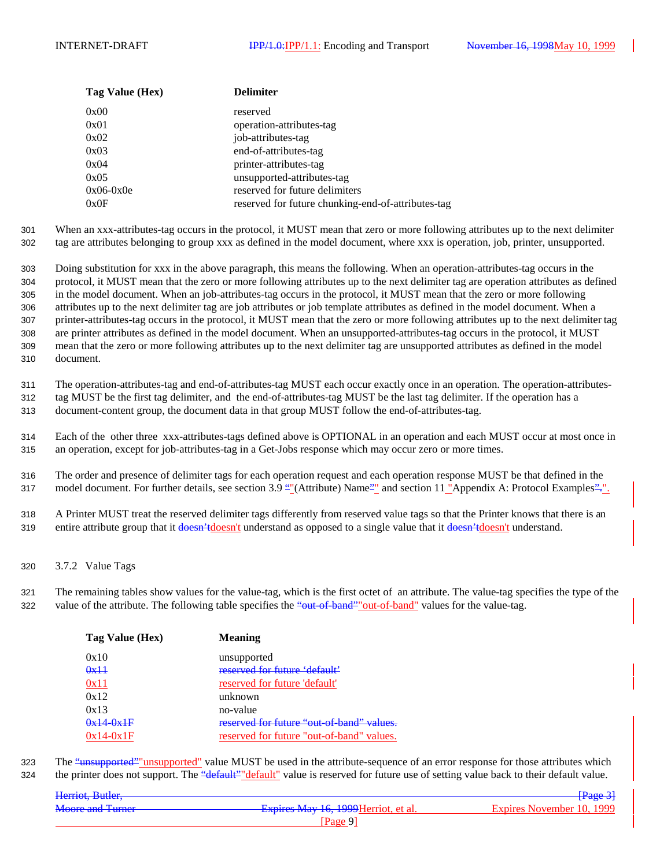| Tag Value (Hex) | <b>Delimiter</b>                                   |  |
|-----------------|----------------------------------------------------|--|
| 0x00            | reserved                                           |  |
| 0x01            | operation-attributes-tag                           |  |
| 0x02            | job-attributes-tag                                 |  |
| 0x03            | end-of-attributes-tag                              |  |
| 0x04            | printer-attributes-tag                             |  |
| 0x05            | unsupported-attributes-tag                         |  |
| $0x06-0x0e$     | reserved for future delimiters                     |  |
| 0x0F            | reserved for future chunking-end-of-attributes-tag |  |

301 When an xxx-attributes-tag occurs in the protocol, it MUST mean that zero or more following attributes up to the next delimiter 302 tag are attributes belonging to group xxx as defined in the model document, where xxx is operation, job, printer, unsupported.

 Doing substitution for xxx in the above paragraph, this means the following. When an operation-attributes-tag occurs in the protocol, it MUST mean that the zero or more following attributes up to the next delimiter tag are operation attributes as defined in the model document. When an job-attributes-tag occurs in the protocol, it MUST mean that the zero or more following attributes up to the next delimiter tag are job attributes or job template attributes as defined in the model document. When a printer-attributes-tag occurs in the protocol, it MUST mean that the zero or more following attributes up to the next delimiter tag are printer attributes as defined in the model document. When an unsupported-attributes-tag occurs in the protocol, it MUST mean that the zero or more following attributes up to the next delimiter tag are unsupported attributes as defined in the model document.

311 The operation-attributes-tag and end-of-attributes-tag MUST each occur exactly once in an operation. The operation-attributes-312 tag MUST be the first tag delimiter, and the end-of-attributes-tag MUST be the last tag delimiter. If the operation has a

313 document-content group, the document data in that group MUST follow the end-of-attributes-tag.

314 Each of the other three xxx-attributes-tags defined above is OPTIONAL in an operation and each MUST occur at most once in 315 an operation, except for job-attributes-tag in a Get-Jobs response which may occur zero or more times.

316 The order and presence of delimiter tags for each operation request and each operation response MUST be that defined in the 317 model document. For further details, see section 3.9 ""(Attribute) Name" and section 11 "Appendix A: Protocol Examples".".

318 A Printer MUST treat the reserved delimiter tags differently from reserved value tags so that the Printer knows that there is an 319 entire attribute group that it doesn't understand as opposed to a single value that it doesn't understand.

320 3.7.2 Value Tags

321 The remaining tables show values for the value-tag, which is the first octet of an attribute. The value-tag specifies the type of the 322 value of the attribute. The following table specifies the "out-of-band" out-of-band" values for the value-tag.

| Tag Value (Hex) | <b>Meaning</b>                            |
|-----------------|-------------------------------------------|
| 0x10            | unsupported                               |
| 0x11            | reserved for future 'default'             |
| 0x11            | reserved for future 'default'             |
| 0x12            | unknown                                   |
| 0x13            | no-value                                  |
| $0x14-0x1F$     | reserved for future "out-of-band" values. |
| $0x14-0x1F$     | reserved for future "out-of-band" values. |

323 The "unsupported" unsupported" value MUST be used in the attribute-sequence of an error response for those attributes which 324 the printer does not support. The "<del>default" "default</del>" value is reserved for future use of setting value back to their default value.

| Herriot, Butler,        |                                      | <del> Page 3</del>        |
|-------------------------|--------------------------------------|---------------------------|
| <b>Moore and Turner</b> | Expires May 16, 1999 Herriot, et al. | Expires November 10, 1999 |
|                         | Page                                 |                           |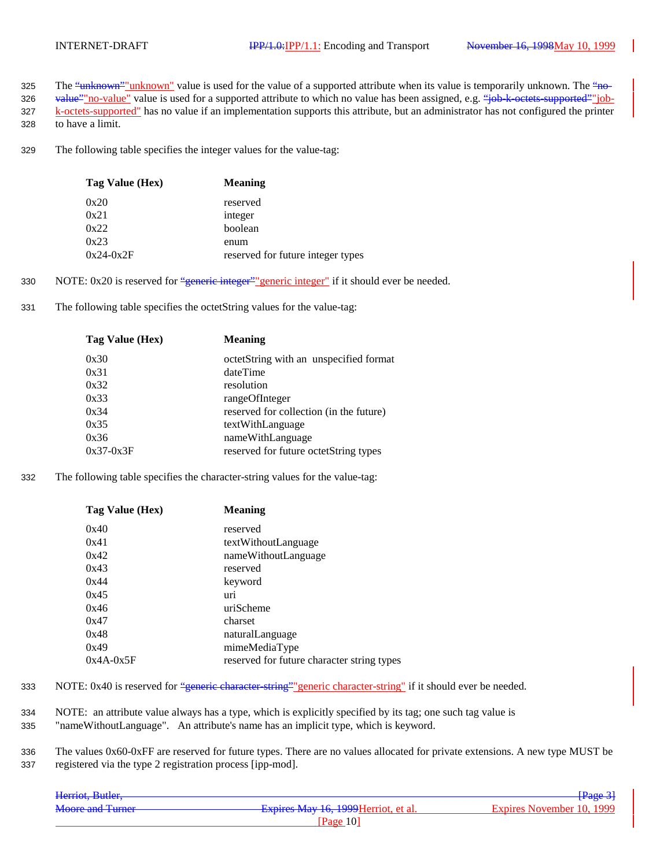- 325 The "unknown" unknown" value is used for the value of a supported attribute when its value is temporarily unknown. The "no-
- 326 value" no-value" value is used for a supported attribute to which no value has been assigned, e.g. "job-k-octets-supported" job-327 k-octets-supported" has no value if an implementation supports this attribute, but an administrator has not configured the printer 328 to have a limit.
- 329 The following table specifies the integer values for the value-tag:

| Tag Value (Hex) | <b>Meaning</b>                    |
|-----------------|-----------------------------------|
| 0x20            | reserved                          |
| 0x21            | integer                           |
| 0x22            | boolean                           |
| 0x23            | enum                              |
| $0x24-0x2F$     | reserved for future integer types |

- 330 NOTE:  $0x20$  is reserved for "generic integer" generic integer" if it should ever be needed.
- 331 The following table specifies the octetString values for the value-tag:

| <b>Meaning</b>                          |
|-----------------------------------------|
| octetString with an unspecified format  |
| dateTime                                |
| resolution                              |
| rangeOfInteger                          |
| reserved for collection (in the future) |
| textWithLanguage                        |
| nameWithLanguage                        |
| reserved for future octetString types   |
|                                         |

332 The following table specifies the character-string values for the value-tag:

| Tag Value (Hex) | <b>Meaning</b>                             |
|-----------------|--------------------------------------------|
| 0x40            | reserved                                   |
| 0x41            | textWithoutLanguage                        |
| 0x42            | nameWithoutLanguage                        |
| 0x43            | reserved                                   |
| 0x44            | keyword                                    |
| 0x45            | uri                                        |
| 0x46            | uriScheme                                  |
| 0x47            | charset                                    |
| 0x48            | naturalLanguage                            |
| 0x49            | mimeMediaType                              |
| $0x4A-0x5F$     | reserved for future character string types |

- 333 NOTE: 0x40 is reserved for "generic character-string" generic character-string" if it should ever be needed.
- 334 NOTE: an attribute value always has a type, which is explicitly specified by its tag; one such tag value is
- 335 "nameWithoutLanguage". An attribute's name has an implicit type, which is keyword.
- 336 The values 0x60-0xFF are reserved for future types. There are no values allocated for private extensions. A new type MUST be 337 registered via the type 2 registration process [ipp-mod].

| Herriot, Butler,        |                                      | $\frac{1}{2}$ $\frac{1}{2}$ |
|-------------------------|--------------------------------------|-----------------------------|
| <b>Moore and Turner</b> | Expires May 16, 1999 Herriot, et al. | Expires November 10, 1999   |
|                         | Page 10                              |                             |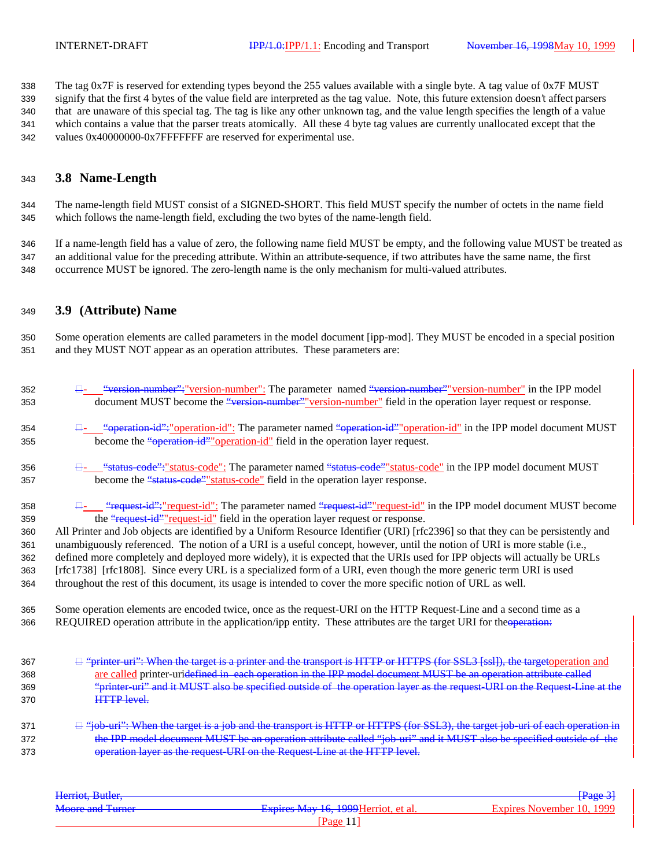The tag 0x7F is reserved for extending types beyond the 255 values available with a single byte. A tag value of 0x7F MUST signify that the first 4 bytes of the value field are interpreted as the tag value. Note, this future extension doesn't affect parsers that are unaware of this special tag. The tag is like any other unknown tag, and the value length specifies the length of a value which contains a value that the parser treats atomically. All these 4 byte tag values are currently unallocated except that the values 0x40000000-0x7FFFFFFF are reserved for experimental use.

### **3.8 Name-Length**

 The name-length field MUST consist of a SIGNED-SHORT. This field MUST specify the number of octets in the name field which follows the name-length field, excluding the two bytes of the name-length field.

 If a name-length field has a value of zero, the following name field MUST be empty, and the following value MUST be treated as an additional value for the preceding attribute. Within an attribute-sequence, if two attributes have the same name, the first occurrence MUST be ignored. The zero-length name is the only mechanism for multi-valued attributes.

### **3.9 (Attribute) Name**

 Some operation elements are called parameters in the model document [ipp-mod]. They MUST be encoded in a special position and they MUST NOT appear as an operation attributes. These parameters are:

| 352 | <del>□</del> <u>the set of the set of the set of the set of the set of the set of the set of the set of the set of the set of the set of the IPP model the IPP model with the IPP model with the IPP model with the IPP model with the s</u> |
|-----|----------------------------------------------------------------------------------------------------------------------------------------------------------------------------------------------------------------------------------------------|
| 353 | document MUST become the "version-number" version-number" field in the operation layer request or response.                                                                                                                                  |

- 354  $\theta$  "operation-id": "operation-id": The parameter named "operation-id" operation-id" in the IPP model document MUST 355 become the "operation-id" operation-id" field in the operation layer request.
- 356  $\Box$  "status-code": "status-code": The parameter named "status-code" in the IPP model document MUST 357 become the "status-code" status-code" field in the operation layer response.
- 358  $\Box$  "request-id": "request-id": The parameter named "request-id" request-id" in the IPP model document MUST become 359 the "request-id" request-id" field in the operation layer request or response.

 All Printer and Job objects are identified by a Uniform Resource Identifier (URI) [rfc2396] so that they can be persistently and unambiguously referenced. The notion of a URI is a useful concept, however, until the notion of URI is more stable (i.e., defined more completely and deployed more widely), it is expected that the URIs used for IPP objects will actually be URLs [rfc1738] [rfc1808]. Since every URL is a specialized form of a URI, even though the more generic term URI is used throughout the rest of this document, its usage is intended to cover the more specific notion of URL as well.

 Some operation elements are encoded twice, once as the request-URI on the HTTP Request-Line and a second time as a REQUIRED operation attribute in the application/ipp entity. These attributes are the target URI for theoperation:

- **Example 1** "printer-uri": When the target is a printer and the transport is HTTP or HTTPS (for SSL3 [ssl]), the targetoperation and 368 are called printer-uridefined in each operation in the IPP model document MUST be an operation attribute called "printer-uri" and it MUST also be specified outside of the operation layer as the request-URI on the Request-Line at the HTTP level.
- 371  $\Box$  "job-uri": When the target is a job and the transport is HTTP or HTTPS (for SSL3), the target job-uri of each operation in the IPP model document MUST be an operation attribute called "job-uri" and it MUST also be specified outside of the operation layer as the request-URI on the Request-Line at the HTTP level.

| Herriot, Butler, |                                      | <del> Page 3 </del>       |
|------------------|--------------------------------------|---------------------------|
| Moore and Turner | Expires May 16, 1999 Herriot, et al. | Expires November 10, 1999 |
|                  | Page $11$                            |                           |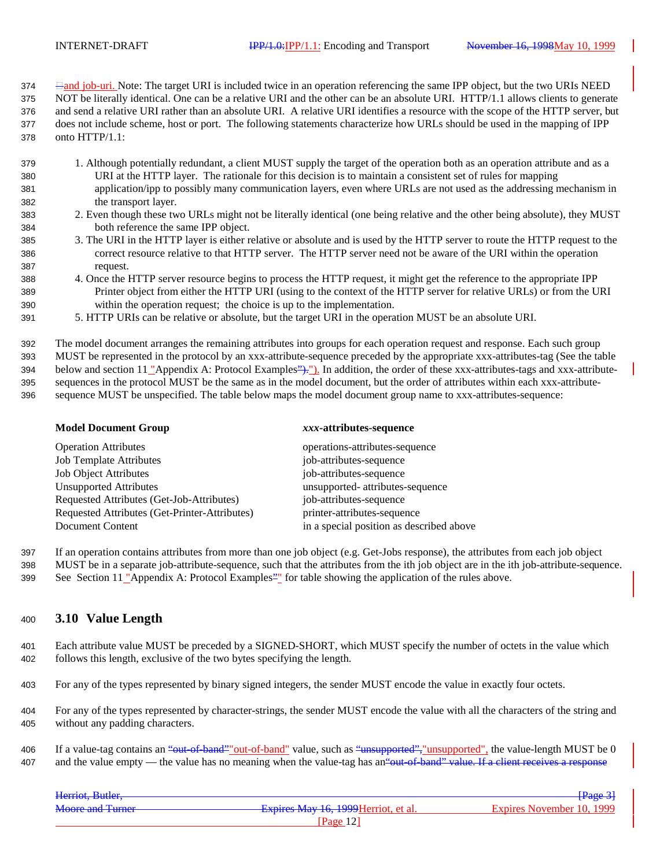$\Box$  and job-uri. Note: The target URI is included twice in an operation referencing the same IPP object, but the two URIs NEED NOT be literally identical. One can be a relative URI and the other can be an absolute URI. HTTP/1.1 allows clients to generate and send a relative URI rather than an absolute URI. A relative URI identifies a resource with the scope of the HTTP server, but does not include scheme, host or port. The following statements characterize how URLs should be used in the mapping of IPP onto HTTP/1.1:

- 1. Although potentially redundant, a client MUST supply the target of the operation both as an operation attribute and as a URI at the HTTP layer. The rationale for this decision is to maintain a consistent set of rules for mapping application/ipp to possibly many communication layers, even where URLs are not used as the addressing mechanism in the transport layer.
- 2. Even though these two URLs might not be literally identical (one being relative and the other being absolute), they MUST both reference the same IPP object.
- 3. The URI in the HTTP layer is either relative or absolute and is used by the HTTP server to route the HTTP request to the correct resource relative to that HTTP server. The HTTP server need not be aware of the URI within the operation request.
- 4. Once the HTTP server resource begins to process the HTTP request, it might get the reference to the appropriate IPP Printer object from either the HTTP URI (using to the context of the HTTP server for relative URLs) or from the URI within the operation request; the choice is up to the implementation.
- 5. HTTP URIs can be relative or absolute, but the target URI in the operation MUST be an absolute URI.

 The model document arranges the remaining attributes into groups for each operation request and response. Each such group MUST be represented in the protocol by an xxx-attribute-sequence preceded by the appropriate xxx-attributes-tag (See the table 394 below and section 11 "Appendix A: Protocol Examples"; "). In addition, the order of these xxx-attributes-tags and xxx-attribute-sequences in the protocol MUST be the same as in the model document, but the order of attributes within each xxx-attribute-

sequence MUST be unspecified. The table below maps the model document group name to xxx-attributes-sequence:

#### **Model Document Group** *xxx***-attributes-sequence**

| operations-attributes-sequence           |
|------------------------------------------|
| job-attributes-sequence                  |
| job-attributes-sequence                  |
| unsupported- attributes-sequence         |
| job-attributes-sequence                  |
| printer-attributes-sequence              |
| in a special position as described above |
|                                          |

If an operation contains attributes from more than one job object (e.g. Get-Jobs response), the attributes from each job object

- MUST be in a separate job-attribute-sequence, such that the attributes from the ith job object are in the ith job-attribute-sequence.
- See Section 11 "Appendix A: Protocol Examples"" for table showing the application of the rules above.

### **3.10 Value Length**

 Each attribute value MUST be preceded by a SIGNED-SHORT, which MUST specify the number of octets in the value which follows this length, exclusive of the two bytes specifying the length.

For any of the types represented by binary signed integers, the sender MUST encode the value in exactly four octets.

 For any of the types represented by character-strings, the sender MUST encode the value with all the characters of the string and without any padding characters.

406 If a value-tag contains an "out-of-band" out-of-band" value, such as "unsupported", "unsupported", the value-length MUST be 0 407 and the value empty — the value has no meaning when the value-tag has an<del>"out-of-band" value. If a client receives a response</del>

| Herriot, Butler,        |                                      | <del> Page 3 </del>       |
|-------------------------|--------------------------------------|---------------------------|
| <b>Moore and Turner</b> | Expires May 16, 1999 Herriot, et al. | Expires November 10, 1999 |
|                         | Page 12                              |                           |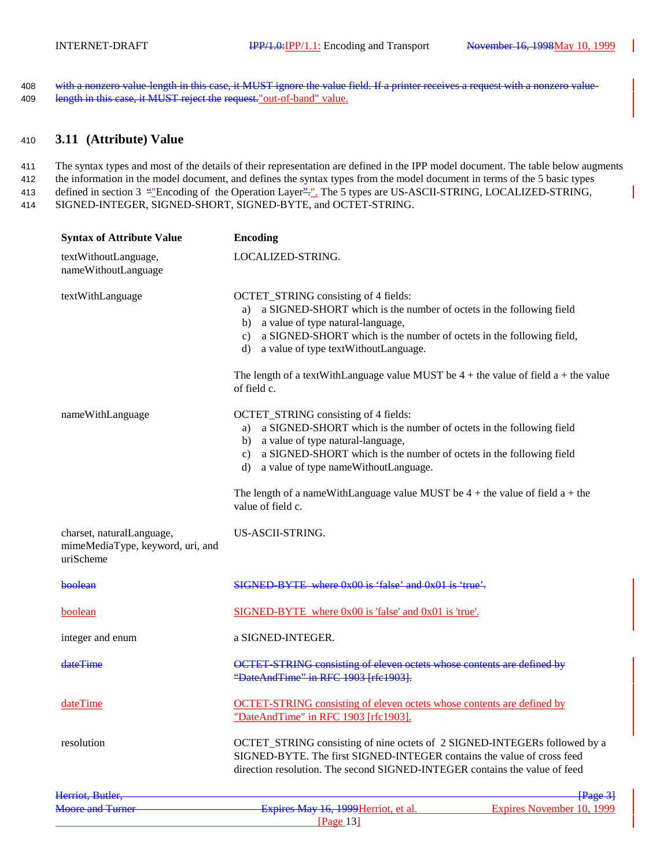408 with a nonzero value-length in this case, it MUST ignore the value field. If a printer receives a request with a nonzero value-409 length in this case, it MUST reject the request."out-of-band" value.

### <sup>410</sup> **3.11 (Attribute) Value**

411 The syntax types and most of the details of their representation are defined in the IPP model document. The table below augments 412 the information in the model document, and defines the syntax types from the model document in terms of the 5 basic types

413 defined in section 3 "Encoding of the Operation Layer"." The 5 types are US-ASCII-STRING, LOCALIZED-STRING,

414 SIGNED-INTEGER, SIGNED-SHORT, SIGNED-BYTE, and OCTET-STRING.

| <b>Encoding</b><br><b>Syntax of Attribute Value</b>                        |                                                                                                                                                                                                                                                                                                                                                                  |
|----------------------------------------------------------------------------|------------------------------------------------------------------------------------------------------------------------------------------------------------------------------------------------------------------------------------------------------------------------------------------------------------------------------------------------------------------|
| textWithoutLanguage,<br>nameWithoutLanguage                                | LOCALIZED-STRING.                                                                                                                                                                                                                                                                                                                                                |
| textWithLanguage                                                           | OCTET_STRING consisting of 4 fields:<br>a) a SIGNED-SHORT which is the number of octets in the following field<br>b) a value of type natural-language,<br>c) a SIGNED-SHORT which is the number of octets in the following field,<br>d) a value of type textWithoutLanguage.                                                                                     |
|                                                                            | The length of a textWithLanguage value MUST be $4 +$ the value of field a + the value<br>of field c.                                                                                                                                                                                                                                                             |
| nameWithLanguage                                                           | OCTET_STRING consisting of 4 fields:<br>a) a SIGNED-SHORT which is the number of octets in the following field<br>b) a value of type natural-language,<br>c) a SIGNED-SHORT which is the number of octets in the following field<br>d) a value of type nameWithoutLanguage.<br>The length of a nameWithLanguage value MUST be $4 +$ the value of field $a +$ the |
|                                                                            | value of field c.                                                                                                                                                                                                                                                                                                                                                |
| charset, naturalLanguage,<br>mimeMediaType, keyword, uri, and<br>uriScheme | US-ASCII-STRING.                                                                                                                                                                                                                                                                                                                                                 |
| boolean                                                                    | SIGNED-BYTE where 0x00 is 'false' and 0x01 is 'true'.                                                                                                                                                                                                                                                                                                            |
| boolean                                                                    | $SIGNED-BYTE$ where $0x00$ is 'false' and $0x01$ is 'true'.                                                                                                                                                                                                                                                                                                      |
| integer and enum                                                           | a SIGNED-INTEGER.                                                                                                                                                                                                                                                                                                                                                |
| dateTime                                                                   | OCTET-STRING consisting of eleven octets whose contents are defined by<br>"DateAndTime" in RFC 1903 [rfc1903].                                                                                                                                                                                                                                                   |
| dateTime                                                                   | <b>OCTET-STRING</b> consisting of eleven octets whose contents are defined by<br>"DateAndTime" in RFC 1903 [rfc1903].                                                                                                                                                                                                                                            |
| resolution                                                                 | OCTET_STRING consisting of nine octets of 2 SIGNED-INTEGERs followed by a<br>SIGNED-BYTE. The first SIGNED-INTEGER contains the value of cross feed<br>direction resolution. The second SIGNED-INTEGER contains the value of feed                                                                                                                                |
| Herriot, Butler,                                                           | ${Page 3}$                                                                                                                                                                                                                                                                                                                                                       |
| Moore and Turner                                                           | Expires May 16, 1999 Herriot, et al. Expires November 10, 1999<br>[Page $13$ ]                                                                                                                                                                                                                                                                                   |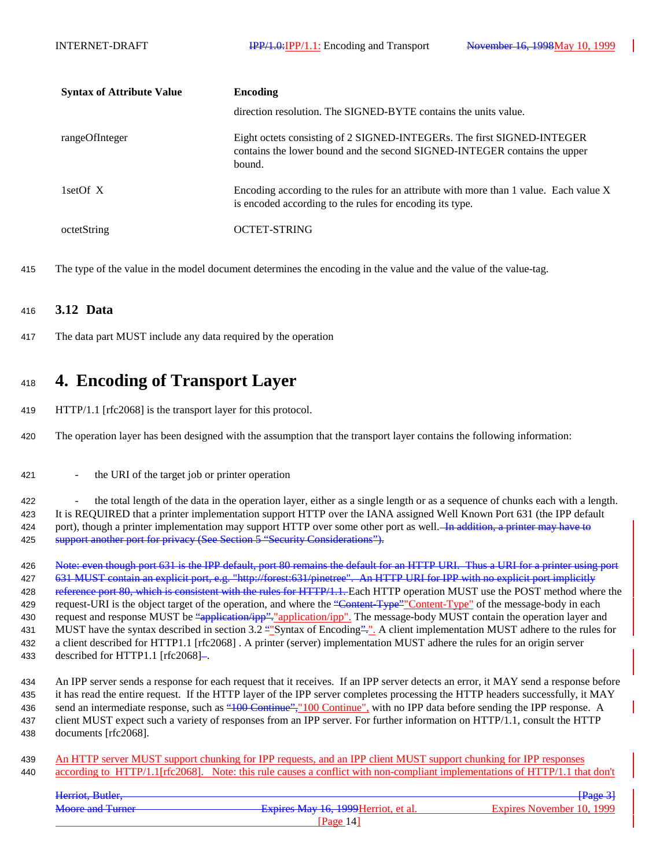| <b>Syntax of Attribute Value</b> | Encoding                                                                                                                                                      |
|----------------------------------|---------------------------------------------------------------------------------------------------------------------------------------------------------------|
|                                  | direction resolution. The SIGNED-BYTE contains the units value.                                                                                               |
| rangeOfInteger                   | Eight octets consisting of 2 SIGNED-INTEGERS. The first SIGNED-INTEGER<br>contains the lower bound and the second SIGNED-INTEGER contains the upper<br>bound. |
| 1setOf X                         | Encoding according to the rules for an attribute with more than 1 value. Each value X<br>is encoded according to the rules for encoding its type.             |
| octetString                      | OCTET-STRING                                                                                                                                                  |

415 The type of the value in the model document determines the encoding in the value and the value of the value-tag.

### <sup>416</sup> **3.12 Data**

417 The data part MUST include any data required by the operation

# <sup>418</sup> **4. Encoding of Transport Layer**

- 419 HTTP/1.1 [rfc2068] is the transport layer for this protocol.
- 420 The operation layer has been designed with the assumption that the transport layer contains the following information:
- 421 the URI of the target job or printer operation

422 - the total length of the data in the operation layer, either as a single length or as a sequence of chunks each with a length. 423 It is REQUIRED that a printer implementation support HTTP over the IANA assigned Well Known Port 631 (the IPP default 424 port), though a printer implementation may support HTTP over some other port as well. In addition, a printer may have to 425 support another port for privacy (See Section 5 "Security Considerations").

426 Note: even though port 631 is the IPP default, port 80 remains the default for an HTTP URI. Thus a URI for a printer using port 427 631 MUST contain an explicit port, e.g. "http://forest:631/pinetree". An HTTP URI for IPP with no explicit port implicitly 428 reference port 80, which is consistent with the rules for HTTP/1.1. Each HTTP operation MUST use the POST method where the 429 request-URI is the object target of the operation, and where the "Content-Type" Content-Type" of the message-body in each 430 request and response MUST be "application/ipp": "application/ipp". The message-body MUST contain the operation layer and 431 MUST have the syntax described in section 3.2 "Syntax of Encoding"..." A client implementation MUST adhere to the rules for 432 a client described for HTTP1.1 [rfc2068] . A printer (server) implementation MUST adhere the rules for an origin server 433 described for HTTP1.1 [rfc2068]-.

 An IPP server sends a response for each request that it receives. If an IPP server detects an error, it MAY send a response before it has read the entire request. If the HTTP layer of the IPP server completes processing the HTTP headers successfully, it MAY 436 send an intermediate response, such as "<del>100 Continue</del>", "100 Continue", with no IPP data before sending the IPP response. A client MUST expect such a variety of responses from an IPP server. For further information on HTTP/1.1, consult the HTTP documents [rfc2068].

| 439 | An HTTP server MUST support chunking for IPP requests, and an IPP client MUST support chunking for IPP responses             |
|-----|------------------------------------------------------------------------------------------------------------------------------|
| 440 | according to HTTP/1.1 Irfc20681. Note: this rule causes a conflict with non-compliant implementations of HTTP/1.1 that don't |

| Herriot, Butler,        |                                      | $\text{Hage}$ 3+          |
|-------------------------|--------------------------------------|---------------------------|
| <b>Moore and Turner</b> | Expires May 16, 1999 Herriot, et al. | Expires November 10, 1999 |
|                         | Page                                 |                           |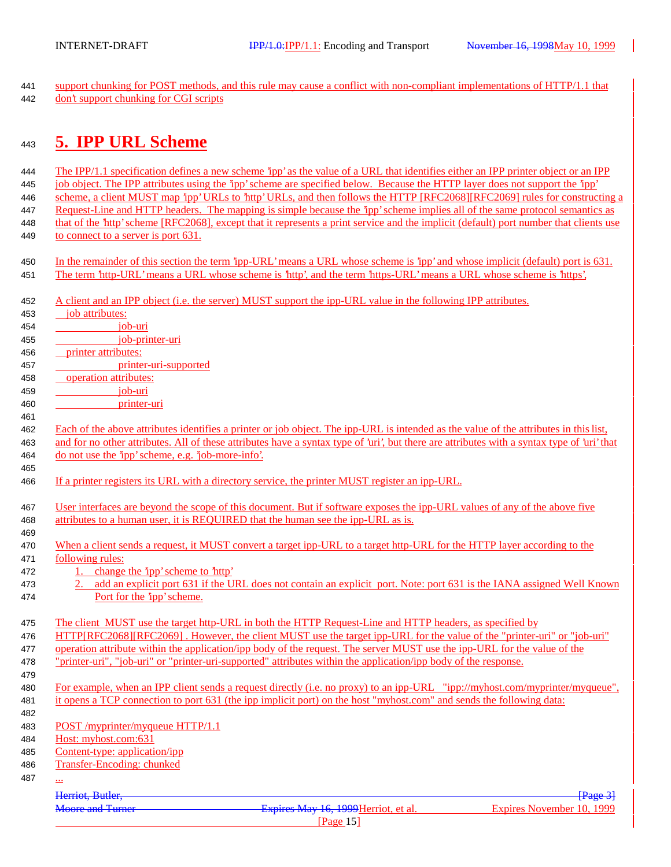support chunking for POST methods, and this rule may cause a conflict with non-compliant implementations of HTTP/1.1 that don't support chunking for CGI scripts

# **5. IPP URL Scheme**

 The IPP/1.1 specification defines a new scheme 'ipp' as the value of a URL that identifies either an IPP printer object or an IPP job object. The IPP attributes using the 'ipp' scheme are specified below. Because the HTTP layer does not support the 'ipp' scheme, a client MUST map 'ipp' URLs to 'http' URLs, and then follows the HTTP [RFC2068][RFC2069] rules for constructing a Request-Line and HTTP headers. The mapping is simple because the 'ipp' scheme implies all of the same protocol semantics as that of the 'http' scheme [RFC2068], except that it represents a print service and the implicit (default) port number that clients use to connect to a server is port 631.

- In the remainder of this section the term 'ipp-URL' means a URL whose scheme is 'ipp' and whose implicit (default) port is 631. The term 'http-URL' means a URL whose scheme is 'http', and the term 'https-URL' means a URL whose scheme is 'https',
- A client and an IPP object (i.e. the server) MUST support the ipp-URL value in the following IPP attributes.
- job attributes: job-uri
- job-printer-uri
- printer attributes:
- printer-uri-supported
- operation attributes:
- job-uri printer-uri
- 

 Each of the above attributes identifies a printer or job object. The ipp-URL is intended as the value of the attributes in this list, and for no other attributes. All of these attributes have a syntax type of 'uri', but there are attributes with a syntax type of 'uri' that do not use the 'ipp' scheme, e.g. 'job-more-info'.

- If a printer registers its URL with a directory service, the printer MUST register an ipp-URL.
- User interfaces are beyond the scope of this document. But if software exposes the ipp-URL values of any of the above five attributes to a human user, it is REQUIRED that the human see the ipp-URL as is.
- 470 When a client sends a request, it MUST convert a target ipp-URL to a target http-URL for the HTTP layer according to the following rules:
- 1. change the 'ipp' scheme to 'http'
- 2. add an explicit port 631 if the URL does not contain an explicit port. Note: port 631 is the IANA assigned Well Known **Port for the 'ipp' scheme.**
- The client MUST use the target http-URL in both the HTTP Request-Line and HTTP headers, as specified by
- HTTP[RFC2068][RFC2069] . However, the client MUST use the target ipp-URL for the value of the "printer-uri" or "job-uri" operation attribute within the application/ipp body of the request. The server MUST use the ipp-URL for the value of the
- "printer-uri", "job-uri" or "printer-uri-supported" attributes within the application/ipp body of the response.
- For example, when an IPP client sends a request directly (i.e. no proxy) to an ipp-URL "ipp://myhost.com/myprinter/myqueue", it opens a TCP connection to port 631 (the ipp implicit port) on the host "myhost.com" and sends the following data:
- POST /myprinter/myqueue HTTP/1.1
- Host: myhost.com:631
- Content-type: application/ipp
- Transfer-Encoding: chunked
- 487 ...
	-
	- Moore and Turner **Expires May 16, 1999** Herriot, et al. Expires November 10, 1999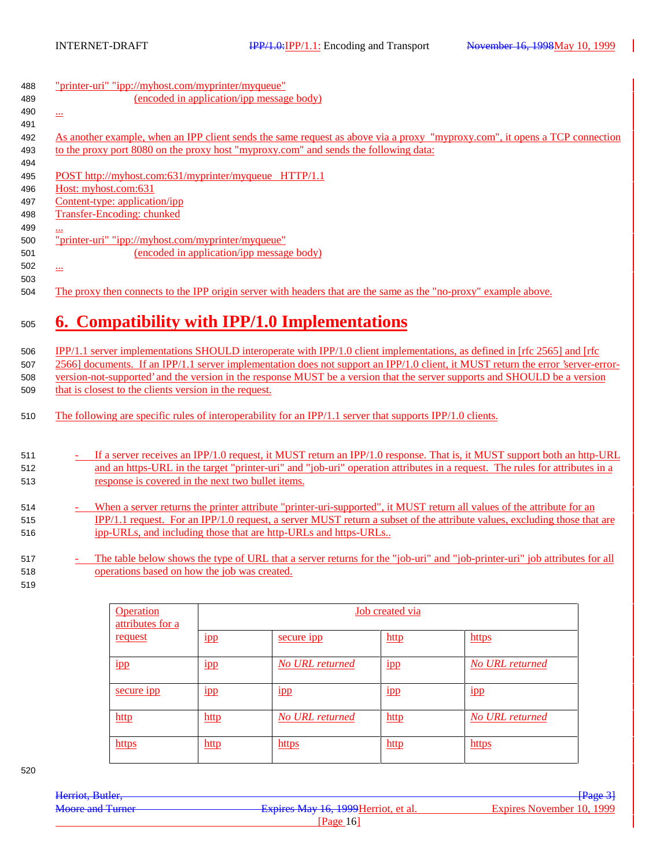| 488 | "printer-uri" "ipp://myhost.com/myprinter/myqueue"                                                                               |
|-----|----------------------------------------------------------------------------------------------------------------------------------|
| 489 | (encoded in application/ipp message body)                                                                                        |
| 490 | $\ldots$                                                                                                                         |
| 491 |                                                                                                                                  |
| 492 | As another example, when an IPP client sends the same request as above via a proxy "myproxy.com", it opens a TCP connection      |
| 493 | to the proxy port 8080 on the proxy host "myproxy.com" and sends the following data:                                             |
| 494 |                                                                                                                                  |
| 495 | POST http://myhost.com:631/myprinter/myqueue HTTP/1.1                                                                            |
| 496 | Host: myhost.com:631                                                                                                             |
| 497 | Content-type: application/ipp                                                                                                    |
| 498 | <b>Transfer-Encoding: chunked</b>                                                                                                |
| 499 | $\cdots$                                                                                                                         |
| 500 | "printer-uri" "ipp://myhost.com/myprinter/myqueue"                                                                               |
| 501 | (encoded in application/ipp message body)                                                                                        |
| 502 | $\cdot$                                                                                                                          |
| 503 |                                                                                                                                  |
| 504 | The proxy then connects to the IPP origin server with headers that are the same as the "no-proxy" example above.                 |
|     |                                                                                                                                  |
| 505 | <b>6. Compatibility with IPP/1.0 Implementations</b>                                                                             |
|     |                                                                                                                                  |
| 506 | IPP/1.1 server implementations SHOULD interoperate with IPP/1.0 client implementations, as defined in [rfc 2565] and [rfc        |
| 507 | 2566] documents. If an IPP/1.1 server implementation does not support an IPP/1.0 client, it MUST return the error 'server-error- |
| 508 | version-not-supported' and the version in the response MUST be a version that the server supports and SHOULD be a version        |

- 509 that is closest to the clients version in the request.
- 510 The following are specific rules of interoperability for an IPP/1.1 server that supports IPP/1.0 clients.
- 511 If a server receives an IPP/1.0 request, it MUST return an IPP/1.0 response. That is, it MUST support both an http-URL 512 and an https-URL in the target "printer-uri" and "job-uri" operation attributes in a request. The rules for attributes in a 513 response is covered in the next two bullet items.
- 514 When a server returns the printer attribute "printer-uri-supported", it MUST return all values of the attribute for an 515 IPP/1.1 request. For an IPP/1.0 request, a server MUST return a subset of the attribute values, excluding those that are 516 ipp-URLs, and including those that are http-URLs and https-URLs..
- 517 The table below shows the type of URL that a server returns for the "job-uri" and "job-printer-uri" job attributes for all 518 operations based on how the job was created.
- 519

| <b>Operation</b><br>attributes for a | Job created via |                 |      |                 |
|--------------------------------------|-----------------|-----------------|------|-----------------|
| request                              | 1pp             | secure ipp      | http | https           |
| $_{\rm ipp}$                         | 1pp             | No URL returned | 1pp  | No URL returned |
| secure <sub>1pp</sub>                | 1pp             | 1pp             | 1pp  | 1pp             |
| http                                 | http            | No URL returned | http | No URL returned |
| https                                | http            | https           | http | https           |

520

| Herriot, Butler,        |                                      | <del>[Page 3]</del>       |
|-------------------------|--------------------------------------|---------------------------|
| <b>Moore and Turner</b> | Expires May 16, 1999 Herriot, et al. | Expires November 10, 1999 |
|                         | Page $16$                            |                           |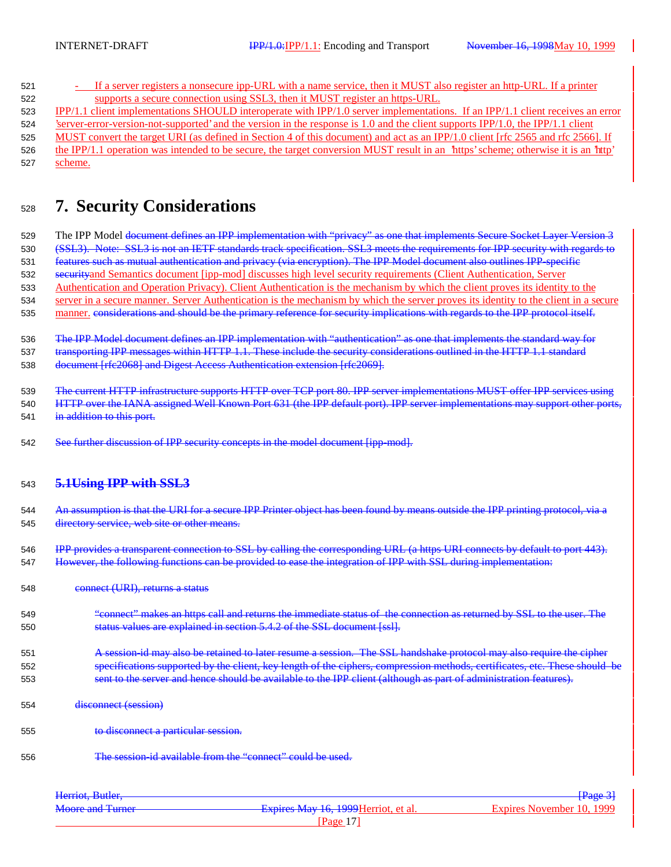- If a server registers a nonsecure ipp-URL with a name service, then it MUST also register an http-URL. If a printer supports a secure connection using SSL3, then it MUST register an https-URL. IPP/1.1 client implementations SHOULD interoperate with IPP/1.0 server implementations. If an IPP/1.1 client receives an error 'server-error-version-not-supported' and the version in the response is 1.0 and the client supports IPP/1.0, the IPP/1.1 client 525 MUST convert the target URI (as defined in Section 4 of this document) and act as an IPP/1.0 client [rfc 2565 and rfc 2566]. If the IPP/1.1 operation was intended to be secure, the target conversion MUST result in an 'https' scheme; otherwise it is an 'http' scheme.

# **7. Security Considerations**

529 The IPP Model document defines an IPP implementation with "privacy" as one that implements Secure Socket Layer Version 3 (SSL3). Note: SSL3 is not an IETF standards track specification. SSL3 meets the requirements for IPP security with regards to features such as mutual authentication and privacy (via encryption). The IPP Model document also outlines IPP-specific securityand Semantics document [ipp-mod] discusses high level security requirements (Client Authentication, Server Authentication and Operation Privacy). Client Authentication is the mechanism by which the client proves its identity to the server in a secure manner. Server Authentication is the mechanism by which the server proves its identity to the client in a secure 535 manner, considerations and should be the primary reference for security implications with regards to the IPP protocol itself.

 The IPP Model document defines an IPP implementation with "authentication" as one that implements the standard way for transporting IPP messages within HTTP 1.1. These include the security considerations outlined in the HTTP 1.1 standard document [rfc2068] and Digest Access Authentication extension [rfc2069].

The current HTTP infrastructure supports HTTP over TCP port 80. IPP server implementations MUST offer IPP services using

540 HTTP over the IANA assigned Well Known Port 631 (the IPP default port). IPP server implementations may support other ports, 541 in addition to this port.

See further discussion of IPP security concepts in the model document [ipp-mod].

### **5.1Using IPP with SSL3**

544 An assumption is that the URI for a secure IPP Printer object has been found by means outside the IPP printing protocol, via a directory service, web site or other means.

546 IPP provides a transparent connection to SSL by calling the corresponding URL (a https URI connects by default to port 443). However, the following functions can be provided to ease the integration of IPP with SSL during implementation:

- connect (URI), returns a status
- "connect" makes an https call and returns the immediate status of the connection as returned by SSL to the user. The status values are explained in section 5.4.2 of the SSL document [ssl].
- A session-id may also be retained to later resume a session. The SSL handshake protocol may also require the cipher specifications supported by the client, key length of the ciphers, compression methods, certificates, etc. These should be 553 sent to the server and hence should be available to the IPP client (although as part of administration features).
- disconnect (session)
- to disconnect a particular session.
- The session-id available from the "connect" could be used.

| Herriot, Butler,        |                                      | <del> Page 3 </del>       |
|-------------------------|--------------------------------------|---------------------------|
|                         |                                      |                           |
| <b>Moore and Turner</b> | Expires May 16, 1999 Herriot, et al. | Expires November 10, 1999 |
|                         |                                      |                           |
|                         | Page 1                               |                           |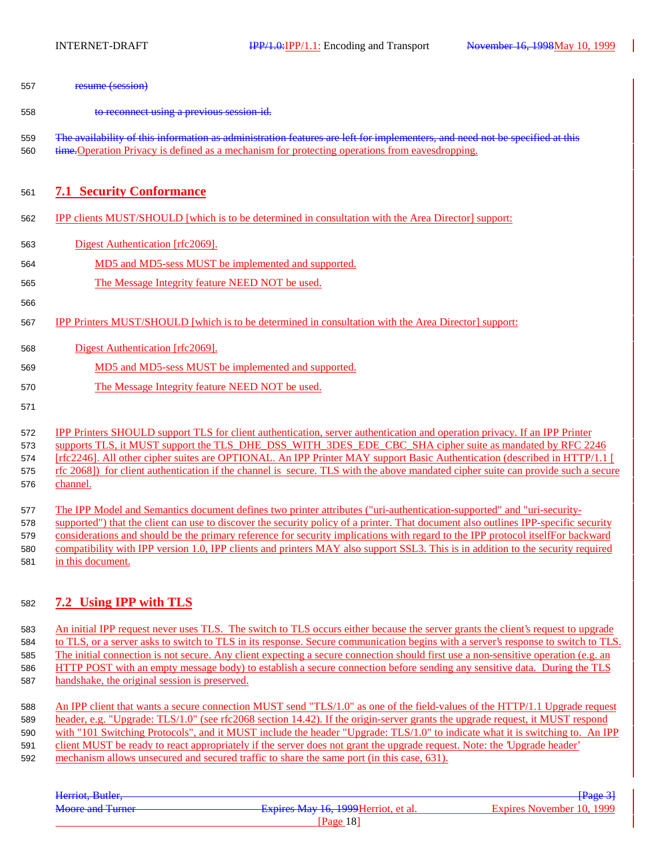| 557        | resume (session)                                                                                                                                                                                                                |
|------------|---------------------------------------------------------------------------------------------------------------------------------------------------------------------------------------------------------------------------------|
| 558        | to reconnect using a previous session-id.                                                                                                                                                                                       |
| 559<br>560 | The availability of this information as administration features are left for implementers, and need not be specified at this<br>time. Operation Privacy is defined as a mechanism for protecting operations from eavesdropping. |
| 561        | <b>7.1 Security Conformance</b>                                                                                                                                                                                                 |
| 562        | IPP clients MUST/SHOULD [which is to be determined in consultation with the Area Director] support:                                                                                                                             |
| 563        | Digest Authentication [rfc2069].                                                                                                                                                                                                |
| 564        | MD5 and MD5-sess MUST be implemented and supported.                                                                                                                                                                             |
| 565        | The Message Integrity feature NEED NOT be used.                                                                                                                                                                                 |
| 566        |                                                                                                                                                                                                                                 |
| 567        | IPP Printers MUST/SHOULD [which is to be determined in consultation with the Area Director] support:                                                                                                                            |
| 568        | Digest Authentication [rfc2069].                                                                                                                                                                                                |
| 569        | MD5 and MD5-sess MUST be implemented and supported.                                                                                                                                                                             |
| 570        | The Message Integrity feature NEED NOT be used.                                                                                                                                                                                 |
| 571        |                                                                                                                                                                                                                                 |
| 572        | IPP Printers SHOULD support TLS for client authentication, server authentication and operation privacy. If an IPP Printer                                                                                                       |
| 573        | supports TLS, it MUST support the TLS_DHE_DSS_WITH_3DES_EDE_CBC_SHA cipher suite as mandated by RFC 2246                                                                                                                        |
| 574        | [rfc2246]. All other cipher suites are OPTIONAL. An IPP Printer MAY support Basic Authentication (described in HTTP/1.1)                                                                                                        |

575 rfc 2068]) for client authentication if the channel is secure. TLS with the above mandated cipher suite can provide such a secure 576 channel.

 The IPP Model and Semantics document defines two printer attributes ("uri-authentication-supported" and "uri-security- supported") that the client can use to discover the security policy of a printer. That document also outlines IPP-specific security considerations and should be the primary reference for security implications with regard to the IPP protocol itselfFor backward compatibility with IPP version 1.0, IPP clients and printers MAY also support SSL3. This is in addition to the security required in this document.

## <sup>582</sup> **7.2 Using IPP with TLS**

 An initial IPP request never uses TLS. The switch to TLS occurs either because the server grants the client's request to upgrade to TLS, or a server asks to switch to TLS in its response. Secure communication begins with a server's response to switch to TLS. The initial connection is not secure. Any client expecting a secure connection should first use a non-sensitive operation (e.g. an HTTP POST with an empty message body) to establish a secure connection before sending any sensitive data. During the TLS handshake, the original session is preserved.

 An IPP client that wants a secure connection MUST send "TLS/1.0" as one of the field-values of the HTTP/1.1 Upgrade request header, e.g. "Upgrade: TLS/1.0" (see rfc2068 section 14.42). If the origin-server grants the upgrade request, it MUST respond with "101 Switching Protocols", and it MUST include the header "Upgrade: TLS/1.0" to indicate what it is switching to. An IPP client MUST be ready to react appropriately if the server does not grant the upgrade request. Note: the 'Upgrade header' mechanism allows unsecured and secured traffic to share the same port (in this case, 631).

| Herriot, Butler, |                                      | $\frac{1}{2}$ $\frac{1}{2}$ $\frac{1}{2}$ $\frac{1}{2}$ $\frac{1}{2}$ $\frac{1}{2}$ $\frac{1}{2}$ $\frac{1}{2}$ $\frac{1}{2}$ $\frac{1}{2}$ $\frac{1}{2}$ $\frac{1}{2}$ $\frac{1}{2}$ $\frac{1}{2}$ $\frac{1}{2}$ $\frac{1}{2}$ $\frac{1}{2}$ $\frac{1}{2}$ $\frac{1}{2}$ $\frac{1}{2}$ $\frac{1}{2}$ $\frac{1}{2}$ |
|------------------|--------------------------------------|---------------------------------------------------------------------------------------------------------------------------------------------------------------------------------------------------------------------------------------------------------------------------------------------------------------------|
| Moore and Turner | Expires May 16, 1999 Herriot, et al. | Expires November 10, 1999                                                                                                                                                                                                                                                                                           |
|                  | Page                                 |                                                                                                                                                                                                                                                                                                                     |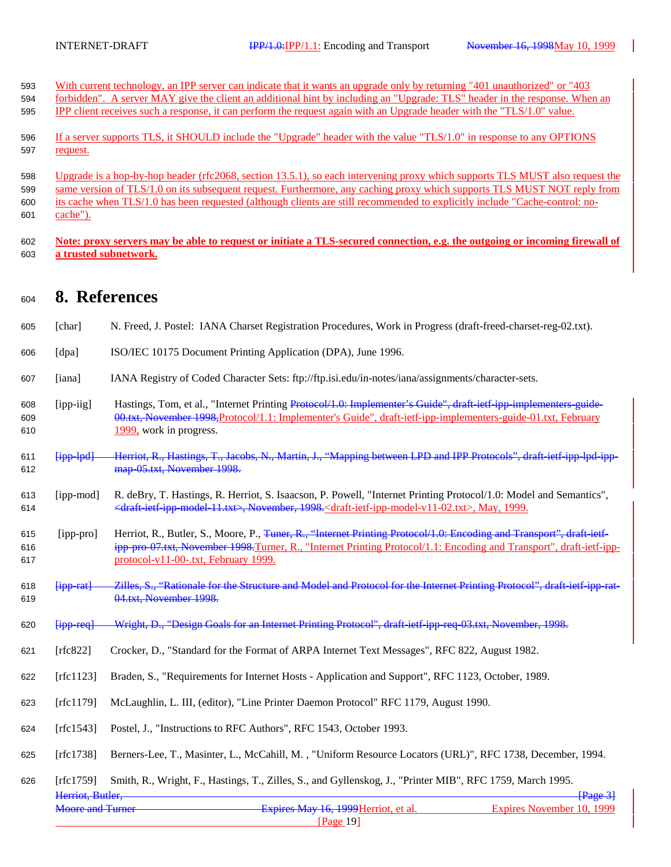| 593 With current technology, an IPP server can indicate that it wants an upgrade only by returning "401 unauthorized" or "403  |
|--------------------------------------------------------------------------------------------------------------------------------|
| 594 forbidden". A server MAY give the client an additional hint by including an "Upgrade: TLS" header in the response. When an |

- IPP client receives such a response, it can perform the request again with an Upgrade header with the "TLS/1.0" value.
- If a server supports TLS, it SHOULD include the "Upgrade" header with the value "TLS/1.0" in response to any OPTIONS request.

 Upgrade is a hop-by-hop header (rfc2068, section 13.5.1), so each intervening proxy which supports TLS MUST also request the same version of TLS/1.0 on its subsequent request. Furthermore, any caching proxy which supports TLS MUST NOT reply from its cache when TLS/1.0 has been requested (although clients are still recommended to explicitly include "Cache-control: no-601 cache").

 **Note: proxy servers may be able to request or initiate a TLS-secured connection, e.g. the outgoing or incoming firewall of a trusted subnetwork.**

# **8. References**

- [char] N. Freed, J. Postel: IANA Charset Registration Procedures, Work in Progress (draft-freed-charset-reg-02.txt).
- [dpa] ISO/IEC 10175 Document Printing Application (DPA), June 1996.
- [iana] IANA Registry of Coded Character Sets: ftp://ftp.isi.edu/in-notes/iana/assignments/character-sets.
- 608 [ipp-iig] Hastings, Tom, et al., "Internet Printing Protocol/1.0: Implementer's Guide", draft-ietf-ipp-implementers-guide- 00.txt, November 1998,Protocol/1.1: Implementer's Guide", draft-ietf-ipp-implementers-guide-01.txt, February 1999, work in progress.
- 611 [ipp-lpd] Herriot, R., Hastings, T., Jacobs, N., Martin, J., "Mapping between LPD and IPP Protocols", draft-ietf-ipp-lpd-ipp-map-05.txt, November 1998.
- [ipp-mod] R. deBry, T. Hastings, R. Herriot, S. Isaacson, P. Powell, "Internet Printing Protocol/1.0: Model and Semantics", <draft-ietf-ipp-model-11.txt>, November, 1998.<draft-ietf-ipp-model-v11-02.txt>, May, 1999.
- 615 [ipp-pro] Herriot, R., Butler, S., Moore, P., Tuner, R., "Internet Printing Protocol/1.0: Encoding and Transport", draft-ietf- ipp-pro-07.txt, November 1998.Turner, R., "Internet Printing Protocol/1.1: Encoding and Transport", draft-ietf-ipp-protocol-v11-00-.txt, February 1999.
- [ipp-rat] Zilles, S., "Rationale for the Structure and Model and Protocol for the Internet Printing Protocol", draft-ietf-ipp-rat-04.txt, November 1998.
- [ipp-req] Wright, D., "Design Goals for an Internet Printing Protocol", draft-ietf-ipp-req-03.txt, November, 1998.
- [rfc822] Crocker, D., "Standard for the Format of ARPA Internet Text Messages", RFC 822, August 1982.
- [rfc1123] Braden, S., "Requirements for Internet Hosts Application and Support", RFC 1123, October, 1989.
- [rfc1179] McLaughlin, L. III, (editor), "Line Printer Daemon Protocol" RFC 1179, August 1990.
- [rfc1543] Postel, J., "Instructions to RFC Authors", RFC 1543, October 1993.
- [rfc1738] Berners-Lee, T., Masinter, L., McCahill, M. , "Uniform Resource Locators (URL)", RFC 1738, December, 1994.

[Page 19]

### Herriot, Butler, [Page 3] Moore and Turner **Expires May 16, 1999** Herriot, et al. Expires November 10, 1999 [rfc1759] Smith, R., Wright, F., Hastings, T., Zilles, S., and Gyllenskog, J., "Printer MIB", RFC 1759, March 1995.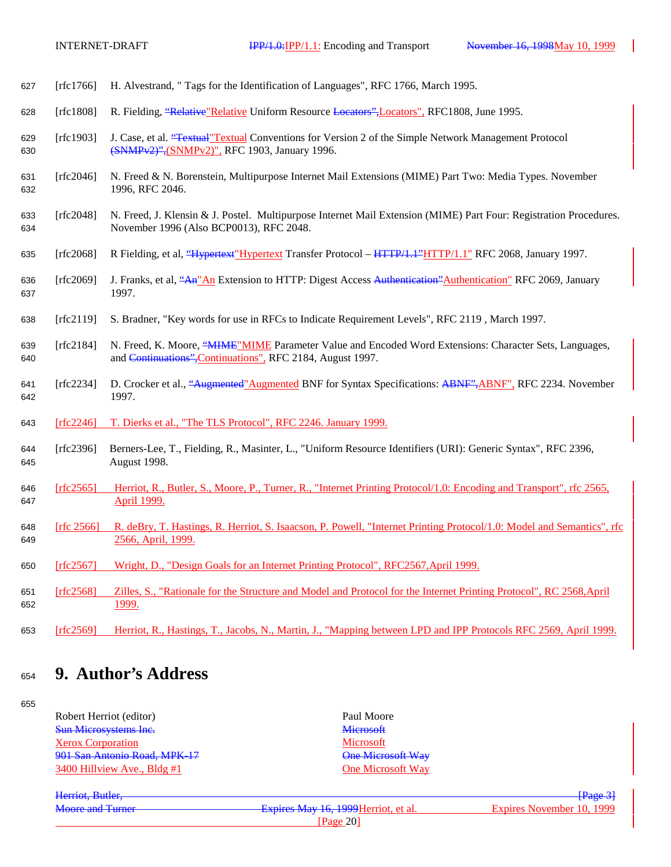| 627        | [rfc1766]     | H. Alvestrand, " Tags for the Identification of Languages", RFC 1766, March 1995.                                                                                     |
|------------|---------------|-----------------------------------------------------------------------------------------------------------------------------------------------------------------------|
| 628        | [rfc1808]     | R. Fielding, "Relative "Relative Uniform Resource Locators", Locators", RFC1808, June 1995.                                                                           |
| 629<br>630 | [ $rfc1903$ ] | J. Case, et al. "Textual" Textual Conventions for Version 2 of the Simple Network Management Protocol<br>(SNMPv2)", (SNMPv2)", RFC 1903, January 1996.                |
| 631<br>632 | [rfc2046]     | N. Freed & N. Borenstein, Multipurpose Internet Mail Extensions (MIME) Part Two: Media Types. November<br>1996, RFC 2046.                                             |
| 633<br>634 | [rfc2048]     | N. Freed, J. Klensin & J. Postel. Multipurpose Internet Mail Extension (MIME) Part Four: Registration Procedures.<br>November 1996 (Also BCP0013), RFC 2048.          |
| 635        | [rfc2068]     | R Fielding, et al, "Hypertext" Hypertext Transfer Protocol - HTTP/1.1" HTTP/1.1" RFC 2068, January 1997.                                                              |
| 636<br>637 | $[rfc2069]$   | J. Franks, et al, "An" An Extension to HTTP: Digest Access Authentication" Authentication" RFC 2069, January<br>1997.                                                 |
| 638        | [rfc2119]     | S. Bradner, "Key words for use in RFCs to Indicate Requirement Levels", RFC 2119, March 1997.                                                                         |
| 639<br>640 | [rfc2184]     | N. Freed, K. Moore, "MIME" MIME Parameter Value and Encoded Word Extensions: Character Sets, Languages,<br>and Continuations", Continuations", RFC 2184, August 1997. |
| 641<br>642 | [rfc2234]     | D. Crocker et al., "Augmented" Augmented BNF for Syntax Specifications: ABNF", ABNF", RFC 2234. November<br>1997.                                                     |
| 643        | [rfc2246]     | T. Dierks et al., "The TLS Protocol", RFC 2246. January 1999.                                                                                                         |
| 644<br>645 | [rfc2396]     | Berners-Lee, T., Fielding, R., Masinter, L., "Uniform Resource Identifiers (URI): Generic Syntax", RFC 2396,<br>August 1998.                                          |
| 646<br>647 | [rfc2565]     | Herriot, R., Butler, S., Moore, P., Turner, R., "Internet Printing Protocol/1.0: Encoding and Transport", rfc 2565,<br><b>April 1999.</b>                             |
| 648<br>649 | [ $rfc$ 2566] | R. deBry, T. Hastings, R. Herriot, S. Isaacson, P. Powell, "Internet Printing Protocol/1.0: Model and Semantics", rfc<br>2566, April, 1999.                           |
| 650        | [rfc2567]     | Wright, D., "Design Goals for an Internet Printing Protocol", RFC2567, April 1999.                                                                                    |
| 651<br>652 | [rfc2568]     | Zilles, S., "Rationale for the Structure and Model and Protocol for the Internet Printing Protocol", RC 2568, April<br>1999.                                          |
| 653        | [rfc2569]     | Herriot, R., Hastings, T., Jacobs, N., Martin, J., "Mapping between LPD and IPP Protocols RFC 2569, April 1999.                                                       |

# <sup>654</sup> **9. Author's Address**

655

Robert Herriot (editor) Paul Moore **Sun Microsystems Inc.** Microsoft Xerox Corporation Microsoft 901 San Antonio Road, MPK-17 Cone Microsoft Way 3400 Hillview Ave., Bldg #1 One Microsoft Way

| Herriot, Butler,        |                                      | <del>[Page 3]</del>       |
|-------------------------|--------------------------------------|---------------------------|
| <b>Moore and Turner</b> | Expires May 16, 1999 Herriot, et al. | Expires November 10, 1999 |
|                         | 201<br>Page                          |                           |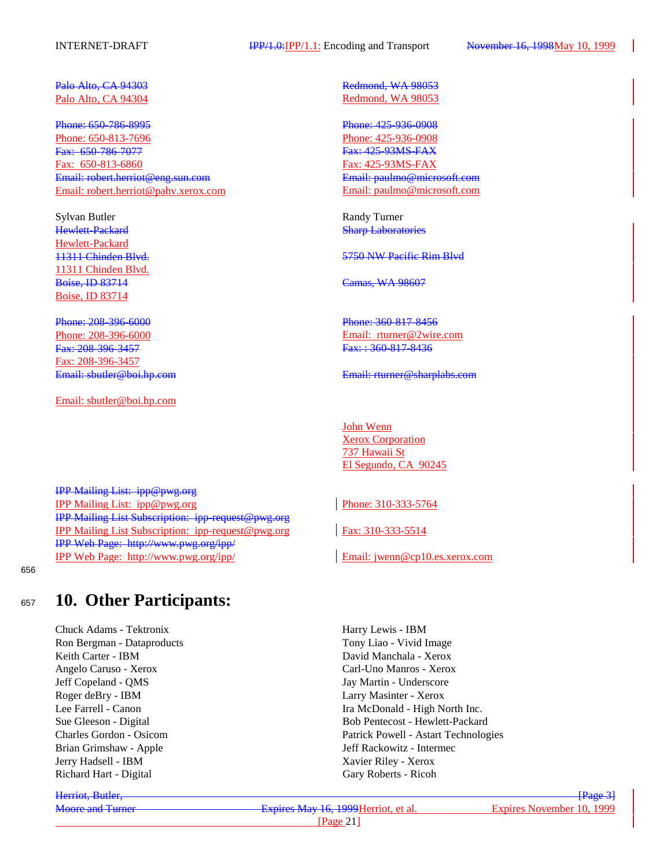INTERNET-DRAFT **IPP/1.0:IPP/1.1:** Encoding and Transport November 16, 1998May 10, 1999

Palo Alto, CA 94303 Redmond, WA 98053

Phone: 650-786-8995 Phone: 425-936-0908 Phone: 650-813-7696 Phone: 425-936-0908 Fax: 650-786-7077 Fax: 425-93MS-FAX Fax: 650-813-6860 Fax: 425-93MS-FAX Email: robert.herriot@eng.sun.com Email: paulmo@microsoft.com Email: robert.herriot@pahv.xerox.com Email: paulmo@microsoft.com

Sylvan Butler Randy Turner **Hewlett-Packard Sharp Laboratories** Hewlett-Packard 11311 Chinden Blvd. **Boise, ID 83714** Camas, WA 98607 Boise, ID 83714

Phone: 208-396-6000 Phone: 208-396-6000 Fax: 208-396-3457 Fax: : 360-817-8436 Fax: 208-396-3457

Email: sbutler@boi.hp.com

Palo Alto, CA 94304 Redmond, WA 98053

11311 Chinden Blvd. 5750 NW Pacific Rim Blvd

Phone: 208-396-6000 Email: rturner@2wire.com

Email: sbutler@boi.hp.com Email: rturner@sharplabs.com

John Wenn **Xerox Corporation** 737 Hawaii St El Segundo, CA 90245

IPP Mailing List: ipp@pwg.org IPP Mailing List: ipp@pwg.org Phone: 310-333-5764 IPP Mailing List Subscription: ipp-request@pwg.org IPP Mailing List Subscription: ipp-request@pwg.org Fax: 310-333-5514 IPP Web Page: http://www.pwg.org/ipp/ IPP Web Page: http://www.pwg.org/ipp/ Email: jwenn@cp10.es.xerox.com

656

# <sup>657</sup> **10. Other Participants:**

Chuck Adams - Tektronix **Harry Lewis** - IBM Ron Bergman - Dataproducts Tony Liao - Vivid Image Keith Carter - IBM David Manchala - Xerox Angelo Caruso - Xerox Carl-Uno Manros - Xerox Jeff Copeland - QMS Jay Martin - Underscore Roger deBry - IBM Larry Masinter - Xerox Brian Grimshaw - Apple **Intermediately** Jeff Rackowitz - Intermec Jerry Hadsell - IBM Xavier Riley - Xerox Richard Hart - Digital Gary Roberts - Ricoh

Lee Farrell - Canon Ira McDonald - High North Inc. Sue Gleeson - Digital Bob Pentecost - Hewlett-Packard Charles Gordon - Osicom Patrick Powell - Astart Technologies

Moore and Turner Expires May 16, 1999Herriot, et al. Expires November 10, 1999 [Page 21]

Herriot, Butler, [Page 3]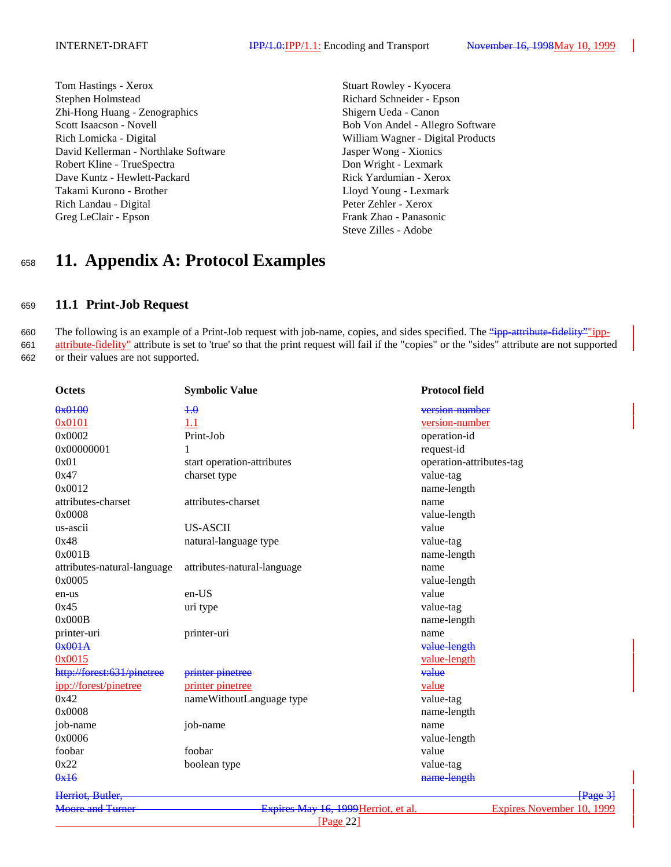Tom Hastings - Xerox Stuart Rowley - Kyocera Stephen Holmstead Richard Schneider - Epson Zhi-Hong Huang - Zenographics Shigern Ueda - Canon Scott Isaacson - Novell Bob Von Andel - Allegro Software Rich Lomicka - Digital William Wagner - Digital Products David Kellerman - Northlake Software Jasper Wong - Xionics Robert Kline - TrueSpectra **Don Wright** - Lexmark Dave Kuntz - Hewlett-Packard Rick Yardumian - Xerox Takami Kurono - Brother Lloyd Young - Lexmark Rich Landau - Digital Peter Zehler - Xerox Greg LeClair - Epson Frank Zhao - Panasonic

Steve Zilles - Adobe

# <sup>658</sup> **11. Appendix A: Protocol Examples**

### <sup>659</sup> **11.1 Print-Job Request**

660 The following is an example of a Print-Job request with job-name, copies, and sides specified. The "ipp-attribute-fidelity" ipp-661 attribute-fidelity" attribute is set to 'true' so that the print request will fail if the "copies" or the "sides" attribute are not supported 662 or their values are not supported.

| Octets                      | <b>Symbolic Value</b>                | <b>Protocol field</b>     |
|-----------------------------|--------------------------------------|---------------------------|
| 0x0100                      | $+ \theta$                           | version-number            |
| 0x0101                      | 1.1                                  | version-number            |
| 0x0002                      | Print-Job                            | operation-id              |
| 0x00000001                  |                                      | request-id                |
| 0x01                        | start operation-attributes           | operation-attributes-tag  |
| 0x47                        | charset type                         | value-tag                 |
| 0x0012                      |                                      | name-length               |
| attributes-charset          | attributes-charset                   | name                      |
| 0x0008                      |                                      | value-length              |
| us-ascii                    | <b>US-ASCII</b>                      | value                     |
| 0x48                        | natural-language type                | value-tag                 |
| 0x001B                      |                                      | name-length               |
| attributes-natural-language | attributes-natural-language          | name                      |
| 0x0005                      |                                      | value-length              |
| en-us                       | $en-US$                              | value                     |
| 0x45                        | uri type                             | value-tag                 |
| 0x000B                      |                                      | name-length               |
| printer-uri                 | printer-uri                          | name                      |
| 0x001A                      |                                      | value-length              |
| 0x0015                      |                                      | value-length              |
| http://forest:631/pinetree  | printer pinetree                     | value                     |
| ipp://forest/pinetree       | printer pinetree                     | value                     |
| 0x42                        | nameWithoutLanguage type             | value-tag                 |
| 0x0008                      |                                      | name-length               |
| job-name                    | job-name                             | name                      |
| 0x0006                      |                                      | value-length              |
| foobar                      | foobar                               | value                     |
| 0x22                        | boolean type                         | value-tag                 |
| 0x16                        |                                      | name-length               |
| Herriot, Butler,            |                                      | [Page 3]                  |
| <b>Moore and Turner</b>     | Expires May 16, 1999 Herriot, et al. | Expires November 10, 1999 |
|                             | [Page 22]                            |                           |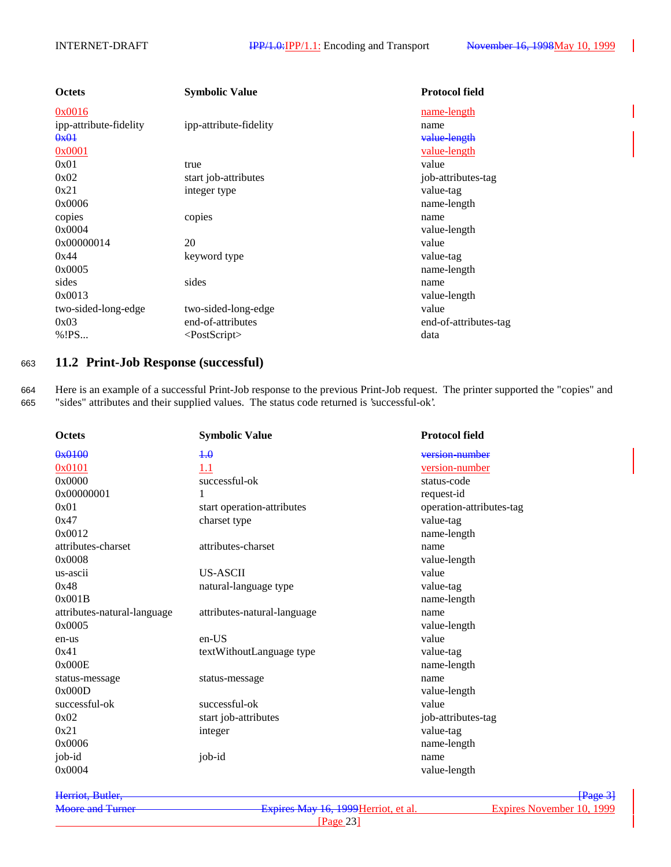| <b>Octets</b>          | <b>Symbolic Value</b>  | <b>Protocol field</b> |
|------------------------|------------------------|-----------------------|
| 0x0016                 |                        | <u>name-length</u>    |
| ipp-attribute-fidelity | ipp-attribute-fidelity | name                  |
| 0x01                   |                        | value-length          |
| 0x0001                 |                        | value-length          |
| 0x01                   | true                   | value                 |
| 0x02                   | start job-attributes   | job-attributes-tag    |
| 0x21                   | integer type           | value-tag             |
| 0x0006                 |                        | name-length           |
| copies                 | copies                 | name                  |
| 0x0004                 |                        | value-length          |
| 0x00000014             | 20                     | value                 |
| 0x44                   | keyword type           | value-tag             |
| 0x0005                 |                        | name-length           |
| sides                  | sides                  | name                  |
| 0x0013                 |                        | value-length          |
| two-sided-long-edge    | two-sided-long-edge    | value                 |
| 0x03                   | end-of-attributes      | end-of-attributes-tag |
| % ! PS                 | $<$ PostScript $>$     | data                  |

## <sup>663</sup> **11.2 Print-Job Response (successful)**

664 Here is an example of a successful Print-Job response to the previous Print-Job request. The printer supported the "copies" and 665 "sides" attributes and their supplied values. The status code returned is 'successful-ok'.

| Octets                      | <b>Symbolic Value</b>       | <b>Protocol field</b>    |
|-----------------------------|-----------------------------|--------------------------|
| 0x0100                      | 4.0                         | version-number           |
| 0x0101                      | 1.1                         | version-number           |
| 0x0000                      | successful-ok               | status-code              |
| 0x00000001                  | 1                           | request-id               |
| 0x01                        | start operation-attributes  | operation-attributes-tag |
| 0x47                        | charset type                | value-tag                |
| 0x0012                      |                             | name-length              |
| attributes-charset          | attributes-charset          | name                     |
| 0x0008                      |                             | value-length             |
| us-ascii                    | US-ASCII                    | value                    |
| 0x48                        | natural-language type       | value-tag                |
| 0x001B                      |                             | name-length              |
| attributes-natural-language | attributes-natural-language | name                     |
| 0x0005                      |                             | value-length             |
| en-us                       | $en-US$                     | value                    |
| 0x41                        | textWithoutLanguage type    | value-tag                |
| 0x000E                      |                             | name-length              |
| status-message              | status-message              | name                     |
| 0x000D                      |                             | value-length             |
| successful-ok               | successful-ok               | value                    |
| 0x02                        | start job-attributes        | job-attributes-tag       |
| 0x21                        | integer                     | value-tag                |
| 0x0006                      |                             | name-length              |
| job-id                      | job-id                      | name                     |
| 0x0004                      |                             | value-length             |
| Herriot, Butler,            |                             | ${Page 3}$               |

Moore and Turner **Expires May 16, 1999** Herriot, et al. Expires November 10, 1999 [Page 23]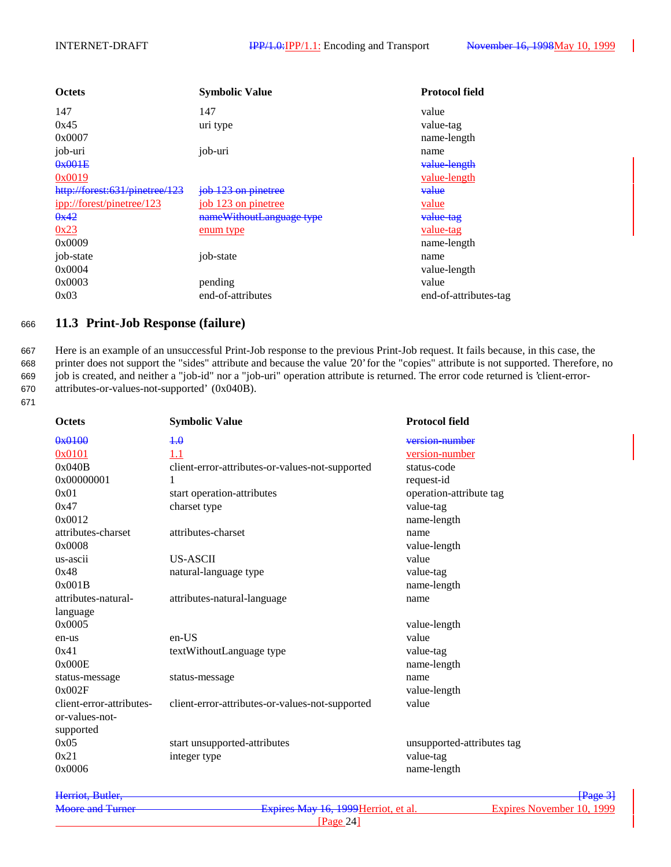| <b>Octets</b>                  | <b>Symbolic Value</b>    | <b>Protocol field</b> |
|--------------------------------|--------------------------|-----------------------|
| 147                            | 147                      | value                 |
| 0x45                           | uri type                 | value-tag             |
| 0x0007                         |                          | name-length           |
| job-uri                        | job-uri                  | name                  |
| $0 \times 001E$                |                          | value-length          |
| 0x0019                         |                          | value-length          |
| http://forest:631/pinetree/123 | job 123 on pinetree      | value                 |
| ipp://forest/pinetree/123      | job 123 on pinetree      | value                 |
| 0x42                           | nameWithoutLanguage type | value-tag             |
| 0x23                           | enum type                | value-tag             |
| 0x0009                         |                          | name-length           |
| job-state                      | job-state                | name                  |
| 0x0004                         |                          | value-length          |
| 0x0003                         | pending                  | value                 |
| 0x03                           | end-of-attributes        | end-of-attributes-tag |

### <sup>666</sup> **11.3 Print-Job Response (failure)**

 Here is an example of an unsuccessful Print-Job response to the previous Print-Job request. It fails because, in this case, the printer does not support the "sides" attribute and because the value '20' for the "copies" attribute is not supported. Therefore, no job is created, and neither a "job-id" nor a "job-uri" operation attribute is returned. The error code returned is 'client-error-attributes-or-values-not-supported' (0x040B).

671

| <b>Octets</b>            | <b>Symbolic Value</b>                           | <b>Protocol field</b>      |
|--------------------------|-------------------------------------------------|----------------------------|
| 0x0100                   | 4.0                                             | version-number             |
| 0x0101                   | 1.1                                             | version-number             |
| 0x040B                   | client-error-attributes-or-values-not-supported | status-code                |
| 0x00000001               | 1                                               | request-id                 |
| 0x01                     | start operation-attributes                      | operation-attribute tag    |
| 0x47                     | charset type                                    | value-tag                  |
| 0x0012                   |                                                 | name-length                |
| attributes-charset       | attributes-charset                              | name                       |
| 0x0008                   |                                                 | value-length               |
| us-ascii                 | <b>US-ASCII</b>                                 | value                      |
| 0x48                     | natural-language type                           | value-tag                  |
| 0x001B                   |                                                 | name-length                |
| attributes-natural-      | attributes-natural-language                     | name                       |
| language                 |                                                 |                            |
| 0x0005                   |                                                 | value-length               |
| en-us                    | $en-US$                                         | value                      |
| 0x41                     | textWithoutLanguage type                        | value-tag                  |
| 0x000E                   |                                                 | name-length                |
| status-message           | status-message                                  | name                       |
| 0x002F                   |                                                 | value-length               |
| client-error-attributes- | client-error-attributes-or-values-not-supported | value                      |
| or-values-not-           |                                                 |                            |
| supported                |                                                 |                            |
| 0x05                     | start unsupported-attributes                    | unsupported-attributes tag |
| 0x21                     | integer type                                    | value-tag                  |
| 0x0006                   |                                                 | name-length                |
|                          |                                                 |                            |

Herriot, Butler, [Page 3] Moore and Turner Expires May 16, 1999 Herriot, et al. Expires November 10, 1999 [Page 24]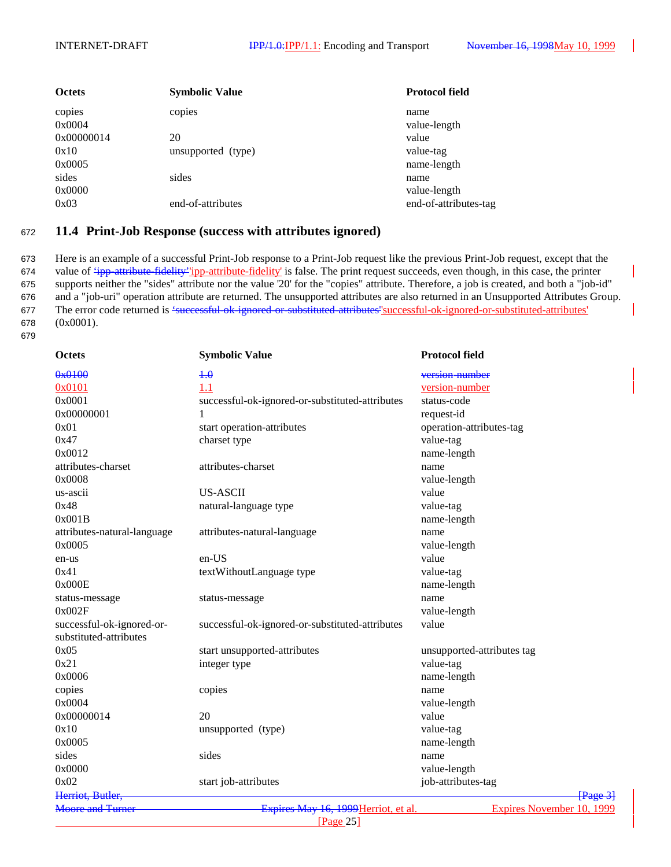| <b>Octets</b>                | <b>Symbolic Value</b>    | <b>Protocol field</b>             |
|------------------------------|--------------------------|-----------------------------------|
| copies<br>0x0004             | copies                   | name<br>value-length              |
| 0x00000014<br>0x10<br>0x0005 | 20<br>unsupported (type) | value<br>value-tag<br>name-length |
| sides<br>0x0000              | sides                    | name<br>value-length              |
| 0x03                         | end-of-attributes        | end-of-attributes-tag             |

### <sup>672</sup> **11.4 Print-Job Response (success with attributes ignored)**

 Here is an example of a successful Print-Job response to a Print-Job request like the previous Print-Job request, except that the 674 value of *'ipp-attribute-fidelity' 'ipp-attribute-fidelity'* is false. The print request succeeds, even though, in this case, the printer supports neither the "sides" attribute nor the value '20' for the "copies" attribute. Therefore, a job is created, and both a "job-id" and a "job-uri" operation attribute are returned. The unsupported attributes are also returned in an Unsupported Attributes Group. The error code returned is 'successful-ok-ignored-or-substituted-attributes''successful-ok-ignored-or-substituted-attributes' (0x0001). 679

| <b>Octets</b>               | <b>Symbolic Value</b>                           | <b>Protocol field</b>      |
|-----------------------------|-------------------------------------------------|----------------------------|
| 0x0100                      | $+ \theta$                                      | version-number             |
| 0x0101                      | 1.1                                             | version-number             |
| 0x0001                      | successful-ok-ignored-or-substituted-attributes | status-code                |
| 0x00000001                  | 1                                               | request-id                 |
| 0x01                        | start operation-attributes                      | operation-attributes-tag   |
| 0x47                        | charset type                                    | value-tag                  |
| 0x0012                      |                                                 | name-length                |
| attributes-charset          | attributes-charset                              | name                       |
| 0x0008                      |                                                 | value-length               |
| us-ascii                    | <b>US-ASCII</b>                                 | value                      |
| 0x48                        | natural-language type                           | value-tag                  |
| 0x001B                      |                                                 | name-length                |
| attributes-natural-language | attributes-natural-language                     | name                       |
| 0x0005                      |                                                 | value-length               |
| en-us                       | en-US                                           | value                      |
| 0x41                        | textWithoutLanguage type                        | value-tag                  |
| 0x000E                      |                                                 | name-length                |
| status-message              | status-message                                  | name                       |
| 0x002F                      |                                                 | value-length               |
| successful-ok-ignored-or-   | successful-ok-ignored-or-substituted-attributes | value                      |
| substituted-attributes      |                                                 |                            |
| 0x05                        | start unsupported-attributes                    | unsupported-attributes tag |
| 0x21                        | integer type                                    | value-tag                  |
| 0x0006                      |                                                 | name-length                |
| copies                      | copies                                          | name                       |
| 0x0004                      |                                                 | value-length               |
| 0x00000014                  | 20                                              | value                      |
| 0x10                        | unsupported (type)                              | value-tag                  |
| 0x0005                      |                                                 | name-length                |
| sides                       | sides                                           | name                       |
| 0x0000                      |                                                 | value-length               |
| 0x02                        | start job-attributes                            | job-attributes-tag         |
| Herriot, Butler,            |                                                 | $\{Page 3\}$               |
| <b>Moore and Turner</b>     | Expires May 16, 1999 Herriot, et al.            | Expires November 10, 1999  |
|                             | [Page 25]                                       |                            |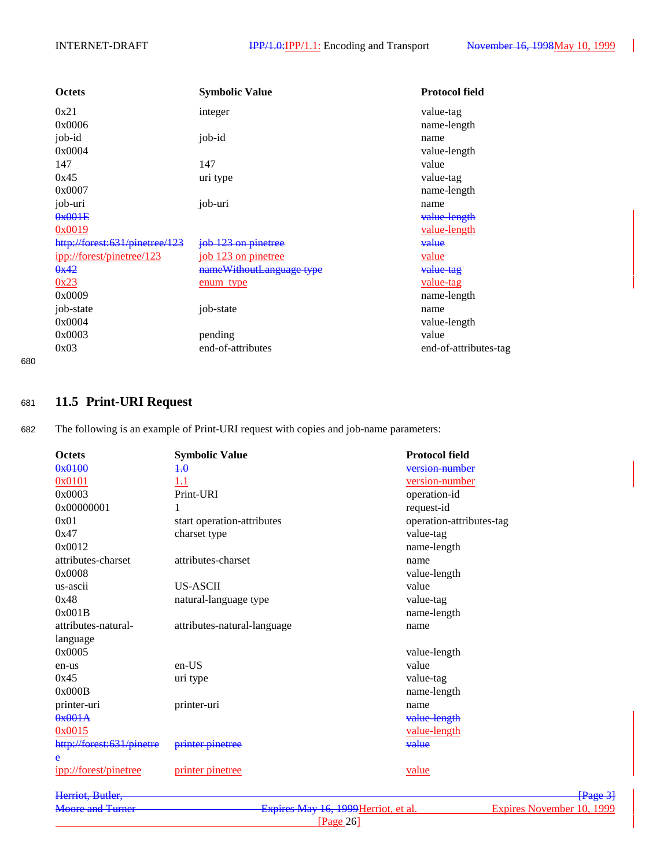| Octets                         | <b>Symbolic Value</b>    | <b>Protocol field</b> |
|--------------------------------|--------------------------|-----------------------|
| 0x21                           | integer                  | value-tag             |
| 0x0006                         |                          | name-length           |
| job-id                         | job-id                   | name                  |
| 0x0004                         |                          | value-length          |
| 147                            | 147                      | value                 |
| 0x45                           | uri type                 | value-tag             |
| 0x0007                         |                          | name-length           |
| job-uri                        | job-uri                  | name                  |
| 0x001E                         |                          | value-length          |
| 0x0019                         |                          | value-length          |
| http://forest:631/pinetree/123 | job 123 on pinetree      | value                 |
| ipp://forest/pinetree/123      | job 123 on pinetree      | value                 |
| 0x42                           | nameWithoutLanguage type | value-tag             |
| 0x23                           | <u>enum type</u>         | <u>value-tag</u>      |
| 0x0009                         |                          | name-length           |
| job-state                      | job-state                | name                  |
| 0x0004                         |                          | value-length          |
| 0x0003                         | pending                  | value                 |
| 0x03                           | end-of-attributes        | end-of-attributes-tag |

680

## <sup>681</sup> **11.5 Print-URI Request**

682 The following is an example of Print-URI request with copies and job-name parameters:

| <b>Octets</b>             | <b>Symbolic Value</b>       |                                      | <b>Protocol field</b>     |
|---------------------------|-----------------------------|--------------------------------------|---------------------------|
| 0x0100                    | $+0$                        |                                      | version-number            |
| 0x0101                    | 1.1                         |                                      | version-number            |
| 0x0003                    | Print-URI                   |                                      | operation-id              |
| 0x00000001                |                             |                                      | request-id                |
| 0x01                      | start operation-attributes  |                                      | operation-attributes-tag  |
| 0x47                      | charset type                |                                      | value-tag                 |
| 0x0012                    |                             |                                      | name-length               |
| attributes-charset        | attributes-charset          |                                      | name                      |
| 0x0008                    |                             |                                      | value-length              |
| us-ascii                  | <b>US-ASCII</b>             |                                      | value                     |
| 0x48                      | natural-language type       |                                      | value-tag                 |
| 0x001B                    |                             |                                      | name-length               |
| attributes-natural-       | attributes-natural-language |                                      | name                      |
| language                  |                             |                                      |                           |
| 0x0005                    |                             |                                      | value-length              |
| en-us                     | en-US                       |                                      | value                     |
| 0x45                      | uri type                    |                                      | value-tag                 |
| 0x000B                    |                             |                                      | name-length               |
| printer-uri               | printer-uri                 |                                      | name                      |
| 0x001A                    |                             |                                      | value-length              |
| 0x0015                    |                             |                                      | value-length              |
| http://forest:631/pinetre | printer pinetree            |                                      | value                     |
| e                         |                             |                                      |                           |
| ipp://forest/pinetree     | printer pinetree            |                                      | value                     |
|                           |                             |                                      |                           |
| Herriot, Butler,          |                             |                                      | $\text{Page 3}$           |
| <b>Moore and Turner</b>   |                             | Expires May 16, 1999 Herriot, et al. | Expires November 10, 1999 |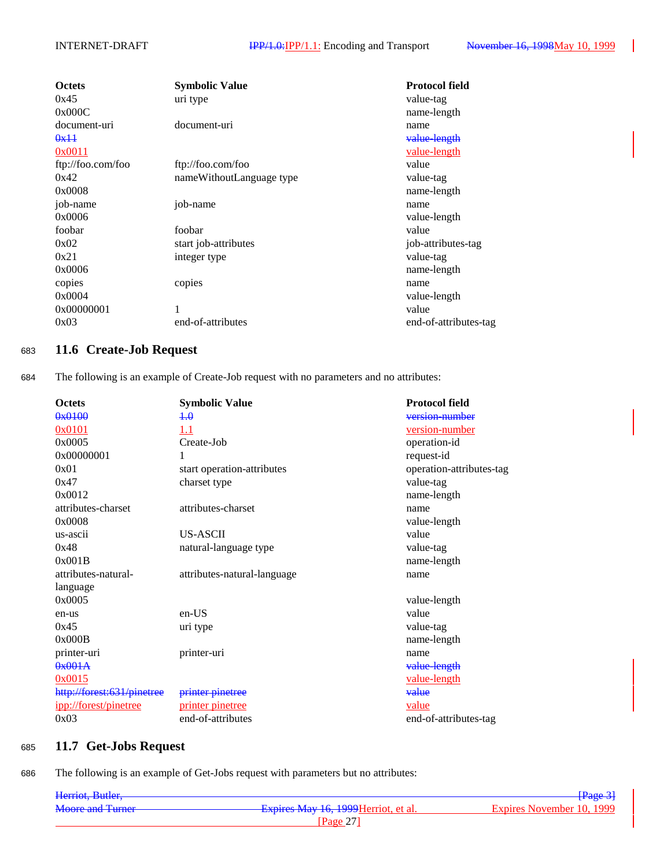| <b>Octets</b>     | <b>Symbolic Value</b>    | <b>Protocol field</b> |
|-------------------|--------------------------|-----------------------|
| 0x45              | uri type                 | value-tag             |
| 0x000C            |                          | name-length           |
| document-uri      | document-uri             | name                  |
| 0x11              |                          | value-length          |
| 0x0011            |                          | <u>value-length</u>   |
| ftp://foo.com/foo | ftp://foo.com/foo        | value                 |
| 0x42              | nameWithoutLanguage type | value-tag             |
| 0x0008            |                          | name-length           |
| job-name          | job-name                 | name                  |
| 0x0006            |                          | value-length          |
| foobar            | foobar                   | value                 |
| 0x02              | start job-attributes     | job-attributes-tag    |
| 0x21              | integer type             | value-tag             |
| 0x0006            |                          | name-length           |
| copies            | copies                   | name                  |
| 0x0004            |                          | value-length          |
| 0x00000001        | 1                        | value                 |
| 0x03              | end-of-attributes        | end-of-attributes-tag |

## <sup>683</sup> **11.6 Create-Job Request**

684 The following is an example of Create-Job request with no parameters and no attributes:

| <b>Octets</b>              | <b>Symbolic Value</b>       | <b>Protocol field</b>    |
|----------------------------|-----------------------------|--------------------------|
| 0x0100                     | $+ \theta$                  | version-number           |
| 0x0101                     | $1.1\,$                     | version-number           |
| 0x0005                     | Create-Job                  | operation-id             |
| 0x00000001                 |                             | request-id               |
| 0x01                       | start operation-attributes  | operation-attributes-tag |
| 0x47                       | charset type                | value-tag                |
| 0x0012                     |                             | name-length              |
| attributes-charset         | attributes-charset          | name                     |
| 0x0008                     |                             | value-length             |
| us-ascii                   | <b>US-ASCII</b>             | value                    |
| 0x48                       | natural-language type       | value-tag                |
| 0x001B                     |                             | name-length              |
| attributes-natural-        | attributes-natural-language | name                     |
| language                   |                             |                          |
| 0x0005                     |                             | value-length             |
| en-us                      | $en-US$                     | value                    |
| 0x45                       | uri type                    | value-tag                |
| 0x000B                     |                             | name-length              |
| printer-uri                | printer-uri                 | name                     |
| 0x001A                     |                             | value-length             |
| 0x0015                     |                             | value-length             |
| http://forest:631/pinetree | printer pinetree            | value                    |
| ipp://forest/pinetree      | printer pinetree            | value                    |
| 0x03                       | end-of-attributes           | end-of-attributes-tag    |

## <sup>685</sup> **11.7 Get-Jobs Request**

686 The following is an example of Get-Jobs request with parameters but no attributes:

| Herriot, Butler,        |                                      | $\text{Case}$             |
|-------------------------|--------------------------------------|---------------------------|
| <b>Moore and Turner</b> | Expires May 16, 1999 Herriot, et al. | Expires November 10, 1999 |
|                         | Page                                 |                           |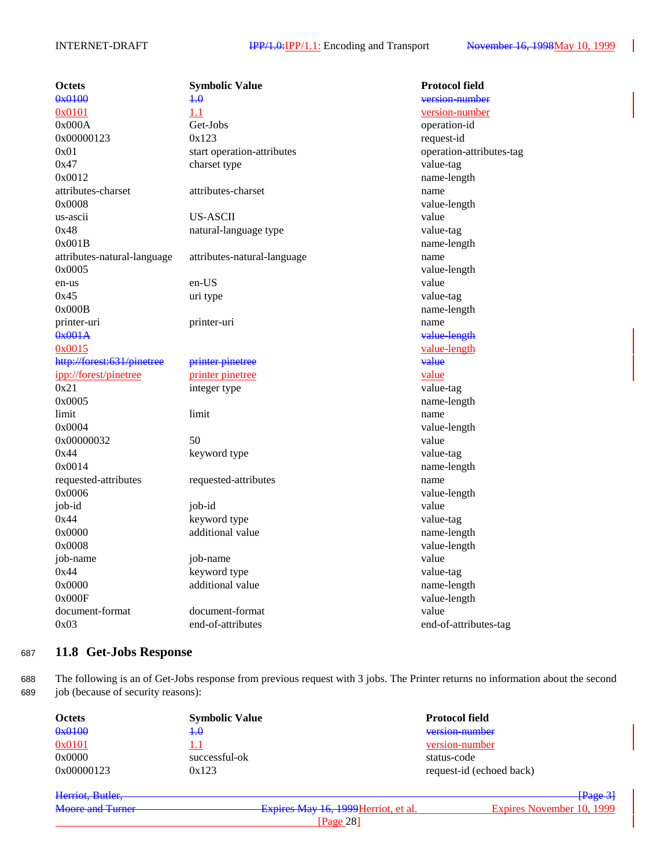| <b>Octets</b>               | <b>Symbolic Value</b>       | <b>Protocol</b> |
|-----------------------------|-----------------------------|-----------------|
| 0x0100                      | $+0$                        | version-n       |
| 0x0101                      | 1.1                         | version-n       |
| 0x000A                      | Get-Jobs                    | operation       |
| 0x00000123                  | 0x123                       | request-io      |
| 0x01                        | start operation-attributes  | operation       |
| 0x47                        | charset type                | value-tag       |
| 0x0012                      |                             | name-len        |
| attributes-charset          | attributes-charset          | name            |
| 0x0008                      |                             | value-len       |
| us-ascii                    | <b>US-ASCII</b>             | value           |
| 0x48                        | natural-language type       | value-tag       |
| 0x001B                      |                             | name-len        |
| attributes-natural-language | attributes-natural-language | name            |
| 0x0005                      |                             | value-len       |
| en-us                       | en-US                       | value           |
| 0x45                        | uri type                    | value-tag       |
| 0x000B                      |                             | name-len        |
| printer-uri                 | printer-uri                 | name            |
| 0x001A                      |                             | value-len       |
| 0x0015                      |                             | value-len       |
| http://forest:631/pinetree  | printer pinetree            | value           |
| ipp://forest/pinetree       | printer pinetree            | value           |
| 0x21                        | integer type                | value-tag       |
| 0x0005                      |                             | name-len        |
| limit                       | limit                       | name            |
| 0x0004                      |                             | value-len       |
| 0x00000032                  | 50                          | value           |
| 0x44                        | keyword type                | value-tag       |
| 0x0014                      |                             | name-len        |
| requested-attributes        | requested-attributes        | name            |
| 0x0006                      |                             | value-len       |
| job-id                      | job-id                      | value           |
| 0x44                        | keyword type                | value-tag       |
| 0x0000                      | additional value            | name-len        |
| 0x0008                      |                             | value-len       |
| job-name                    | job-name                    | value           |
| 0x44                        | keyword type                | value-tag       |
| 0x0000                      | additional value            | name-len        |
| 0x000F                      |                             | value-len       |
| document-format             | document-format             | value           |
| 0x03                        | end-of-attributes           | end-of-at       |
|                             |                             |                 |

# **Protocol field** version-number version-number operation-id request-id operation-attributes-tag name-length value-length name-length value-length name-length value-length value-length value-tag name-length value-length name-length value-length name-length value-length name-length value-length end-of-attributes-tag

### <sup>687</sup> **11.8 Get-Jobs Response**

688 The following is an of Get-Jobs response from previous request with 3 jobs. The Printer returns no information about the second 689 job (because of security reasons):

| <b>Octets</b>           | <b>Symbolic Value</b> |                                      | <b>Protocol field</b>     |  |
|-------------------------|-----------------------|--------------------------------------|---------------------------|--|
| $0 \times 0100$         | $+0$                  |                                      | version-number            |  |
| 0x0101                  | 1.1                   |                                      | version-number            |  |
| 0x0000                  | successful-ok         |                                      | status-code               |  |
| 0x00000123              | 0x123                 |                                      | request-id (echoed back)  |  |
| Herriot, Butler,        |                       |                                      | [Page 3]                  |  |
| <b>Moore and Turner</b> |                       | Expires May 16, 1999 Herriot, et al. | Expires November 10, 1999 |  |

[Page 28]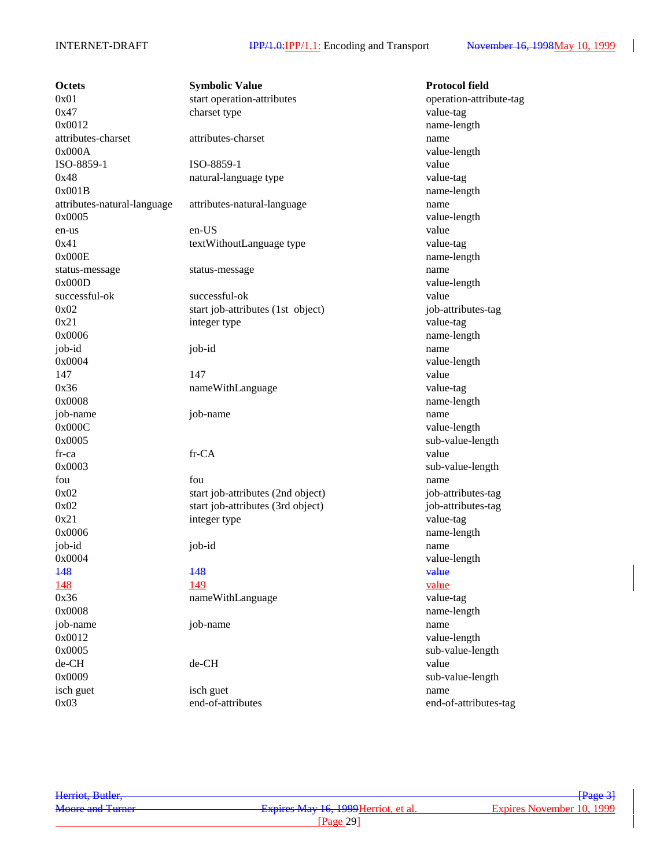isch guet isch guet name

**Octets Symbolic Value Protocol field** 0x01 start operation-attributes operation-attribute-tag 0x47 charset type value-tag 0x0012 name-length attributes-charset attributes-charset name 0x000A value-length ISO-8859-1 ISO-8859-1 value 0x48 natural-language type value-tag 0x001B name-length attributes-natural-language attributes-natural-language name 0x0005 value-length en-us en-US value 0x41 textWithoutLanguage type value-tag 0x000E name-length status-message status-message name 0x000D value-length successful-ok successful-ok value 0x02 start job-attributes (1st object) job-attributes-tag 0x21 integer type value-tag 0x0006 name-length job-id job-id name 0x0004 value-length 147 value 0x36 nameWithLanguage value-tag 0x0008 name-length job-name job-name name 0x000C value-length 0x0005 sub-value-length fr-ca fr-CA value 0x0003 sub-value-length fou **fou fou fou have fou have have have have have have have have h** 0x02 start job-attributes (2nd object) job-attributes-tag 0x02 start job-attributes (3rd object) job-attributes-tag 0x21 integer type value-tag 0x0006 name-length job-id job-id name 0x0004 value-length 148 value 148 value 0x36 nameWithLanguage value-tag 0x0008 name-length job-name job-name name 0x0012 value-length 0x0005 sub-value-length de-CH de-CH value 0x0009 sub-value-length

0x03 end-of-attributes end-of-attributes-tag

| Herriot, Butler,        |  |
|-------------------------|--|
|                         |  |
| <b>Moore and Turner</b> |  |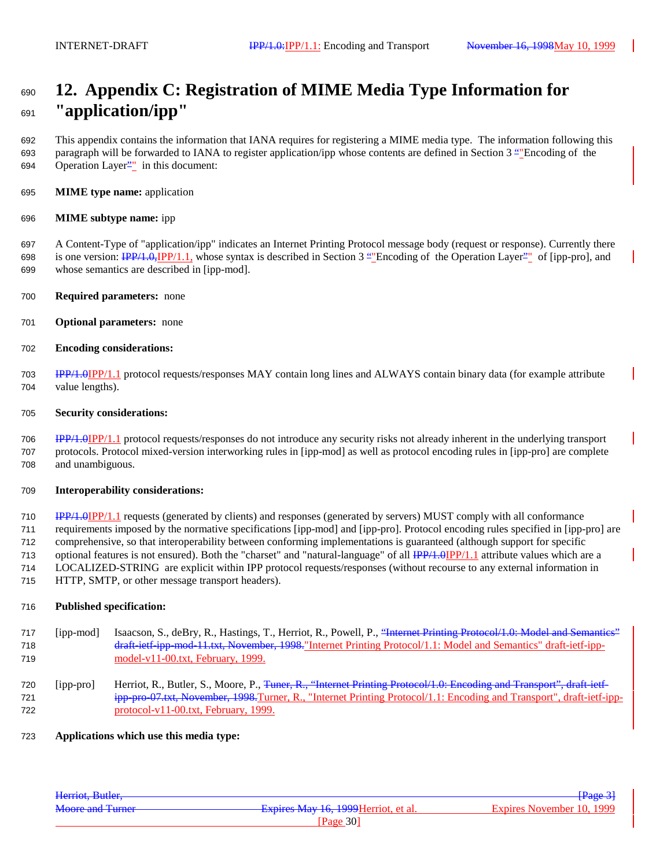# **12. Appendix C: Registration of MIME Media Type Information for "application/ipp"**

 This appendix contains the information that IANA requires for registering a MIME media type. The information following this 693 paragraph will be forwarded to IANA to register application/ipp whose contents are defined in Section  $3 \frac{\text{m}}{\text{s}}$  Encoding of the 694 Operation Layer<sup>2'"</sup> in this document:

**MIME type name:** application

#### **MIME subtype name:** ipp

 A Content-Type of "application/ipp" indicates an Internet Printing Protocol message body (request or response). Currently there 698 is one version:  $IPP/1.0, IPP/1.1$ , whose syntax is described in Section 3 "Encoding of the Operation Layer" of [ipp-pro], and whose semantics are described in [ipp-mod].

- **Required parameters:** none
- **Optional parameters:** none
- **Encoding considerations:**

 IPP/1.0IPP/1.1 protocol requests/responses MAY contain long lines and ALWAYS contain binary data (for example attribute value lengths).

#### **Security considerations:**

 IPP/1.0IPP/1.1 protocol requests/responses do not introduce any security risks not already inherent in the underlying transport protocols. Protocol mixed-version interworking rules in [ipp-mod] as well as protocol encoding rules in [ipp-pro] are complete and unambiguous.

#### **Interoperability considerations:**

 IPP/1.0IPP/1.1 requests (generated by clients) and responses (generated by servers) MUST comply with all conformance requirements imposed by the normative specifications [ipp-mod] and [ipp-pro]. Protocol encoding rules specified in [ipp-pro] are comprehensive, so that interoperability between conforming implementations is guaranteed (although support for specific 713 optional features is not ensured). Both the "charset" and "natural-language" of all IPP/1.0IPP/1.1 attribute values which are a LOCALIZED-STRING are explicit within IPP protocol requests/responses (without recourse to any external information in HTTP, SMTP, or other message transport headers).

#### **Published specification:**

- [ipp-mod] Isaacson, S., deBry, R., Hastings, T., Herriot, R., Powell, P., "Internet Printing Protocol/1.0: Model and Semantics" draft-ietf-ipp-mod-11.txt, November, 1998."Internet Printing Protocol/1.1: Model and Semantics" draft-ietf-ipp-model-v11-00.txt, February, 1999.
- [ipp-pro] Herriot, R., Butler, S., Moore, P., Tuner, R., "Internet Printing Protocol/1.0: Encoding and Transport", draft-ietf- ipp-pro-07.txt, November, 1998.Turner, R., "Internet Printing Protocol/1.1: Encoding and Transport", draft-ietf-ipp-protocol-v11-00.txt, February, 1999.
- **Applications which use this media type:**

| Herriot, Butler,        |                                      | $\frac{1}{2}$ $\frac{1}{2}$ $\frac{1}{2}$ $\frac{1}{2}$ $\frac{1}{2}$ $\frac{1}{2}$ $\frac{1}{2}$ $\frac{1}{2}$ $\frac{1}{2}$ $\frac{1}{2}$ $\frac{1}{2}$ $\frac{1}{2}$ $\frac{1}{2}$ $\frac{1}{2}$ $\frac{1}{2}$ $\frac{1}{2}$ $\frac{1}{2}$ $\frac{1}{2}$ $\frac{1}{2}$ $\frac{1}{2}$ $\frac{1}{2}$ $\frac{1}{2}$ |
|-------------------------|--------------------------------------|---------------------------------------------------------------------------------------------------------------------------------------------------------------------------------------------------------------------------------------------------------------------------------------------------------------------|
|                         |                                      |                                                                                                                                                                                                                                                                                                                     |
| <b>Moore and Turner</b> | Expires May 16, 1999 Herriot, et al. | Expires November 10, 1999                                                                                                                                                                                                                                                                                           |
|                         |                                      |                                                                                                                                                                                                                                                                                                                     |
|                         | Page 30                              |                                                                                                                                                                                                                                                                                                                     |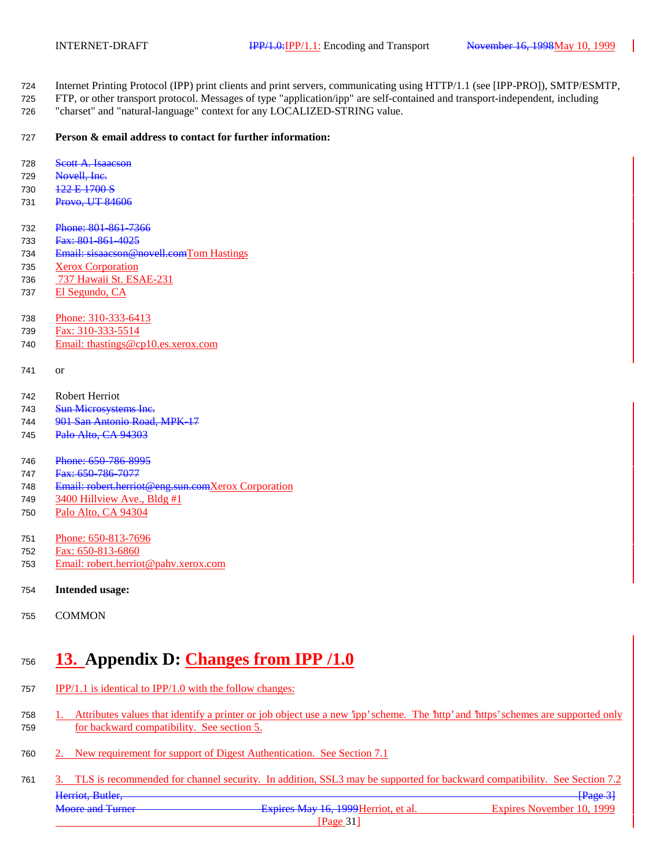- Internet Printing Protocol (IPP) print clients and print servers, communicating using HTTP/1.1 (see [IPP-PRO]), SMTP/ESMTP,
- FTP, or other transport protocol. Messages of type "application/ipp" are self-contained and transport-independent, including
- "charset" and "natural-language" context for any LOCALIZED-STRING value.

### **Person & email address to contact for further information:**

- 728 Scott A. Isaacson
- 729 Novell, Inc.
- 730 122 E 1700 S
- 731 Provo, UT 84606
- Phone: 801-861-7366
- Fax: 801-861-4025
- Email: sisaacson@novell.comTom Hastings
- Xerox Corporation
- 737 Hawaii St. ESAE-231
- El Segundo, CA
- Phone: 310-333-6413
- Fax: 310-333-5514
- Email: thastings@cp10.es.xerox.com

or

- Robert Herriot
- 743 Sun Microsystems Inc.
- 901 San Antonio Road, MPK-17
- Palo Alto, CA 94303
- Phone: 650-786-8995
- 747 Fax: 650-786-7077
- Email: robert.herriot@eng.sun.comXerox Corporation
- 749 3400 Hillview Ave., Bldg #1
- Palo Alto, CA 94304
- Phone: 650-813-7696
- Fax: 650-813-6860
- Email: robert.herriot@pahv.xerox.com
- **Intended usage:**
- COMMON

# **13. Appendix D: Changes from IPP /1.0**

- IPP/1.1 is identical to IPP/1.0 with the follow changes:
- 758 1. Attributes values that identify a printer or job object use a new 'ipp' scheme. The 'http' and 'https' schemes are supported only for backward compatibility. See section 5.
- 2. New requirement for support of Digest Authentication. See Section 7.1
- Herriot, Butler, [Page 3] Moore and Turner **Expires May 16, 1999** Herriot, et al. **Expires November 10**, 1999 [Page 31] 3. TLS is recommended for channel security. In addition, SSL3 may be supported for backward compatibility. See Section 7.2